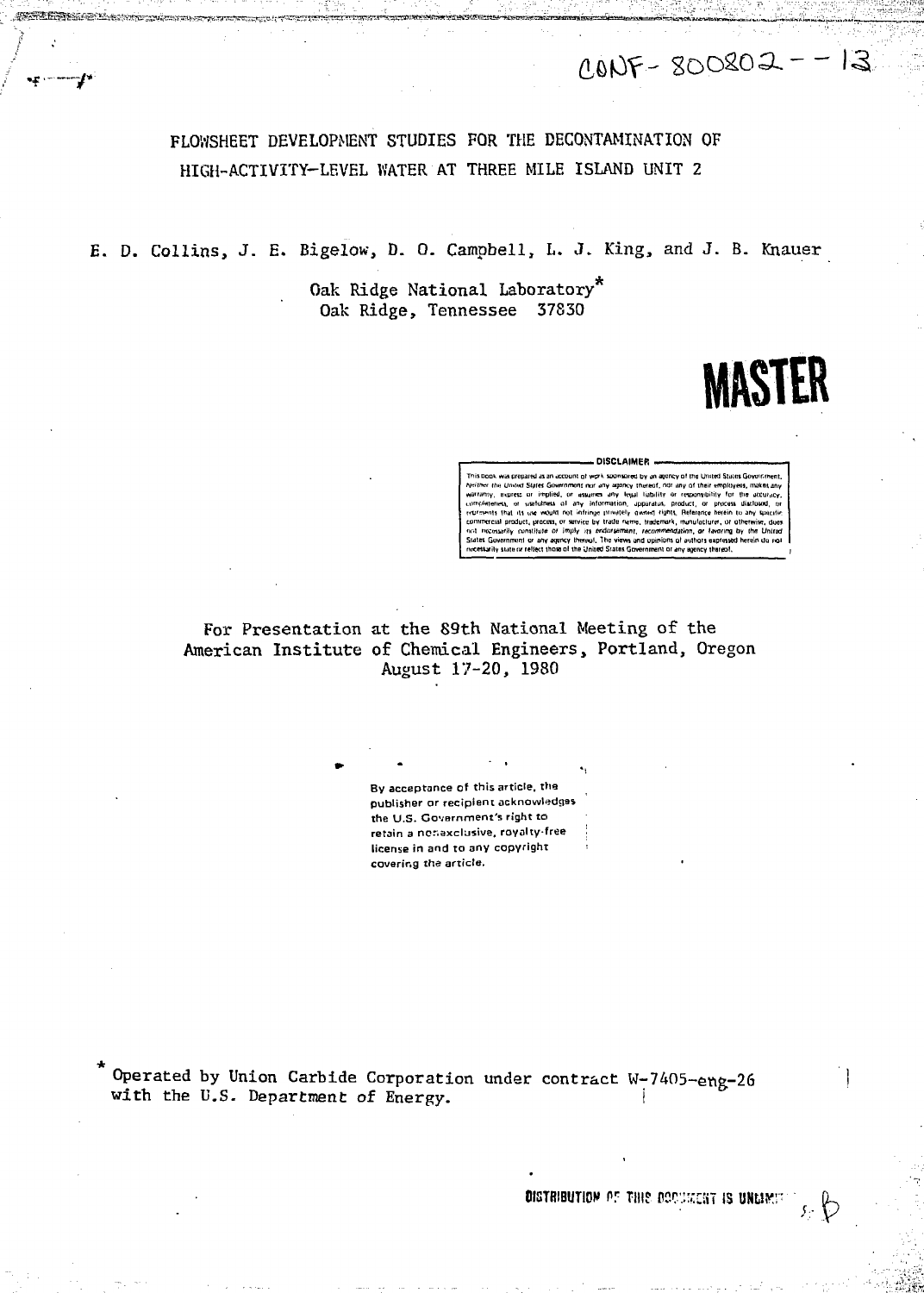$CONF - SOOSO2 - -13$ 

# FLOWSHEET DEVELOPMENT STUDIES FOR THE DECONTAMINATION OF HIGH-ACTIVITY-LEVEL WATER AT THREE MILE ISLAND UNIT 2

E. D. Collins, J. E. Bigelow, D. O. Campbell, L. J. King, and J. B. Knauer

Oak Ridge National Laboratory" Oak Ridge, Tennessee 37830



#### DISCLAIMER.

.<br>This book, was prepared as an account of work nspred by an agency of the United States Government anv of their employe the United States G . makes an **Tability** n and opinions of auth

For Presentation at the 89th National Meeting of the American Institute of Chemical Engineers, Portland, Oregon August 17-20, 1980

> By acceptance of this article, the publisher or recipient acknowledges the U.S. Government's right to retain a nonaxclusive, royalty-free license in and to any copyright covering the article.

Operated by Union Carbide Corporation under contract W-7405-eng-26 with the U.S. Department of Energy.

DISTRIBUTION OF THIS DOCURENT IS UNLIM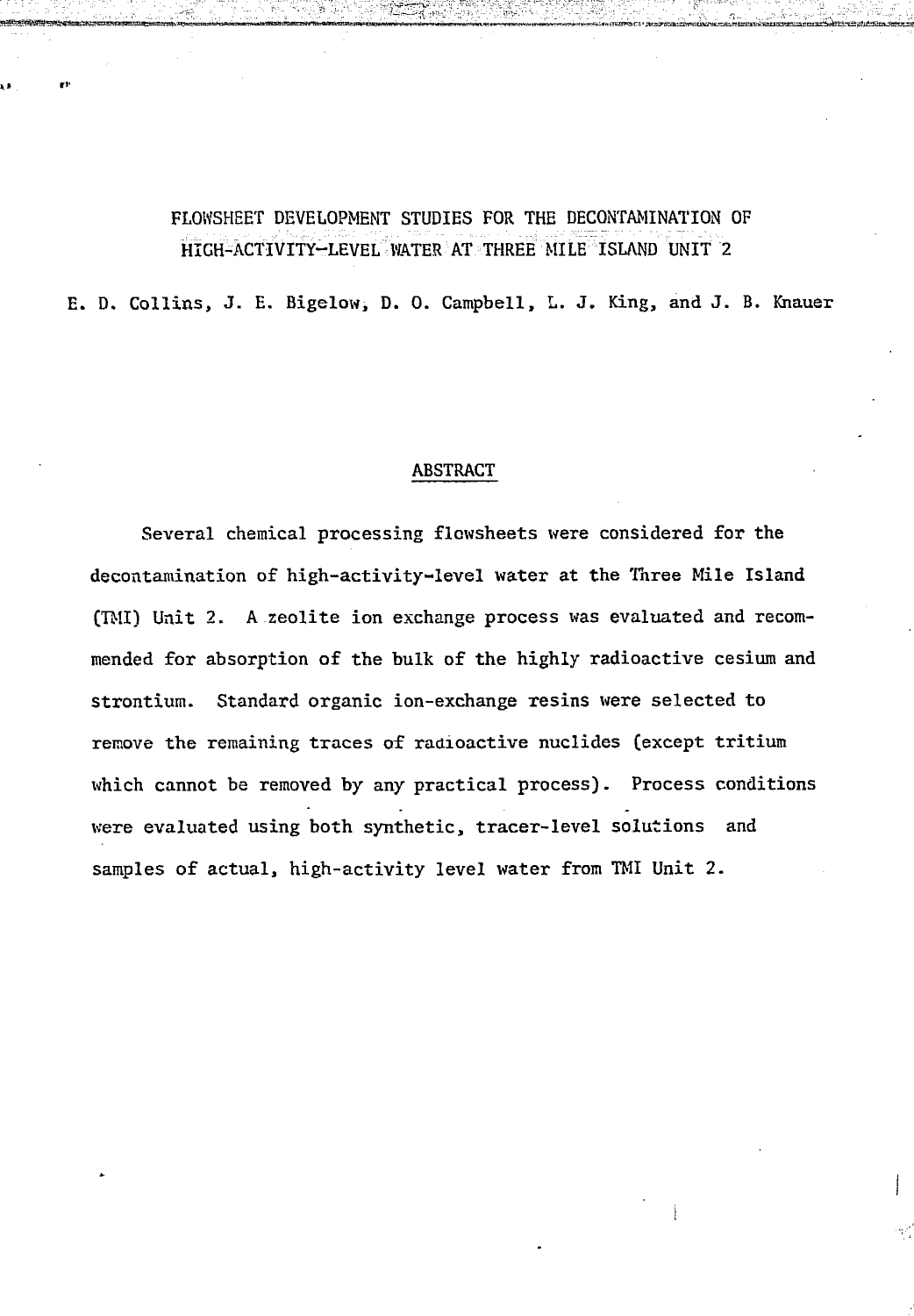## FLOWSHEET DEVELOPMENT STUDIES FOR THE DECONTAMINATION OF HIGH-ACTIVITY-LEVEL WATER AT THREE MILE ISLAND UNIT 2

E. D. Collins, J. E. Bigelow, D. 0. Campbell, L. J. King, and J. B. Knauer

#### ABSTRACT

Several chemical processing flowsheets were considered for the decontamination of high-activity-level water at the Three Mile Island (TMI) Unit 2. A zeolite ion exchange process was evaluated and recommended for absorption of the bulk of the highly radioactive cesium and strontium. Standard organic ion-exchange resins were selected to remove the remaining traces of radioactive nuclides (except tritium which cannot be removed by any practical process). Process conditions were evaluated using both synthetic, tracer-level solutions and samples of actual, high-activity level water from TMI Unit 2.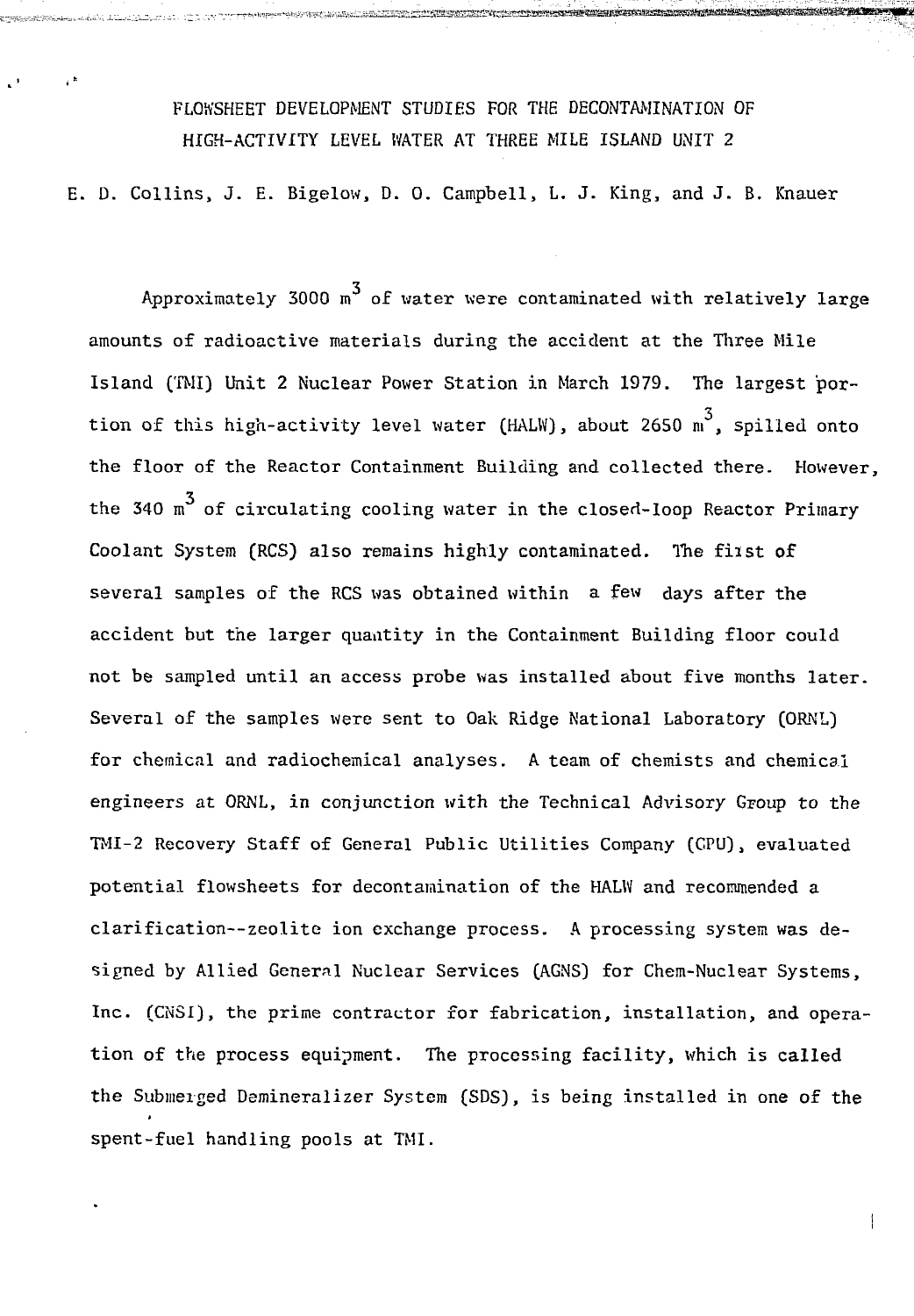FLOWSHEET DEVELOPMENT STUDIES FOR THE DECONTAMINATION OF HIGH-ACTIVITY LEVEL WATER AT THREE MILE ISLAND UNIT 2

 $\cdot$ 

E. D. Collins, J. E. Bigelow, D. 0. Campbell, L. J. King, and J. B. Knauer

Approximately 3000  $m<sup>3</sup>$  of water were contaminated with relatively large amounts of radioactive materials during the accident at the Three Mile Island (TMI) Unit 2 Nuclear Power Station in March 1979. The largest por-3 tion of this high-activity level water (HALW), about 2650 m , spilled onto the floor of the Reactor Containment Building and collected there. However, the 340  $m<sup>3</sup>$  of circulating cooling water in the closed-loop Reactor Primary Coolant System (RCS) also remains highly contaminated. The fiist of several samples of the RCS was obtained within a few days after the accident but the larger quantity in the Containment Building floor could not be sampled until an access probe was installed about five months later. Several of the samples were sent to Oak Ridge National Laboratory (ORNL) for chemical and radiochemical analyses. A team of chemists and chemical engineers at ORNL, in conjunction with the Technical Advisory Group to the TMI-2 Recovery Staff of General Public Utilities Company (CPU), evaluated potential flowsheets for decontamination of the HALW and recommended a clarification—zeolite ion exchange process. A processing system was designed by Allied General Nuclear Services (AGNS) for Chem-Nuclear Systems, Inc. (CNSI), the prime contractor for fabrication, installation, and operation of the process equipment. The processing facility, which is called the Submerged Demineralizer System (SDS), is being installed in one of the spent-fuel handling pools at TMI.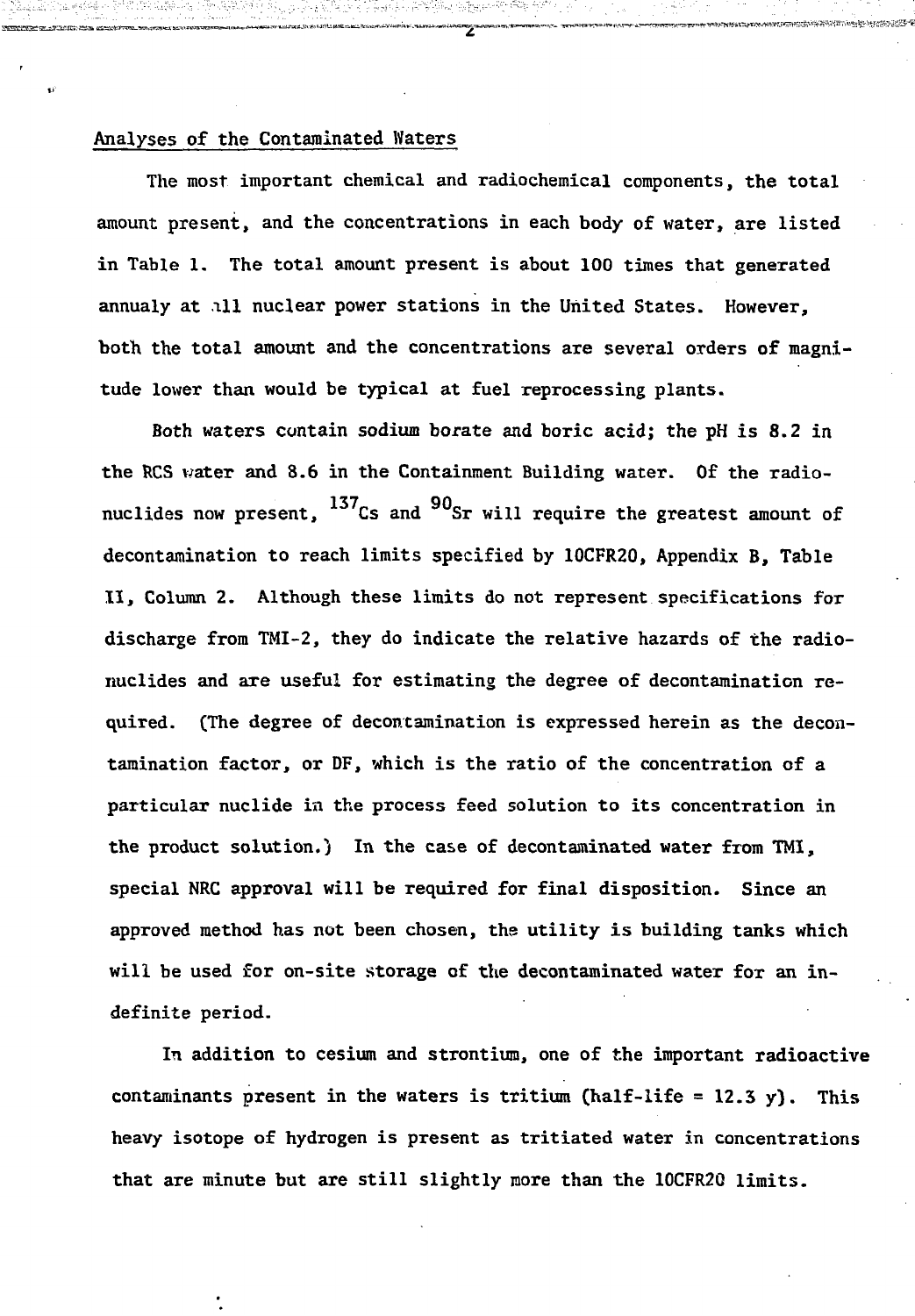#### Analyses of the Contaminated Waters

The most important chemical and radiochemical components, the total amount present, and the concentrations in each body of water, are listed in Table 1. The total amount present is about 100 times that generated annualy at ill nuclear power stations in the United States. However, both the total amount and the concentrations are several orders of magnitude lower than would be typical at fuel reprocessing plants.

\*\*\*\*\*\*\*\*\*\*\*\*\*\*\*\*\*\*

Both waters contain sodium borate and boric acid; the pH is 8.2 in the RCS water and 8.6 in the Containment Building water. Of the radionuclides now present,  $^{137}$ Cs and  $^{90}$ Sr will require the greatest amount of decontamination to reach limits specified by 10CFR20, Appendix B, Table II, Column 2. Although these limits do not represent specifications for discharge from TMI-2, they do indicate the relative hazards of the radionuclides and axe useful for estimating the degree of decontamination required. (The degree of decontamination is expressed herein as the decontamination factor, or DF, which is the ratio of the concentration of a particular nuclide in the process feed solution to its concentration in the product solution.) In the case of decontaminated water from TMI, special NRC approval will be required for final disposition. Since an approved method has not been chosen, the utility is building tanks which will be used for on-site storage of the decontaminated water for an indefinite period.

In addition to cesium and strontium, one of the important radioactive contaminants present in the waters is tritium (half-life =  $12.3$  y). This heavy isotope of hydrogen is present as tritiated water in concentrations that are minute but are still slightly more than the 10CFR20 limits.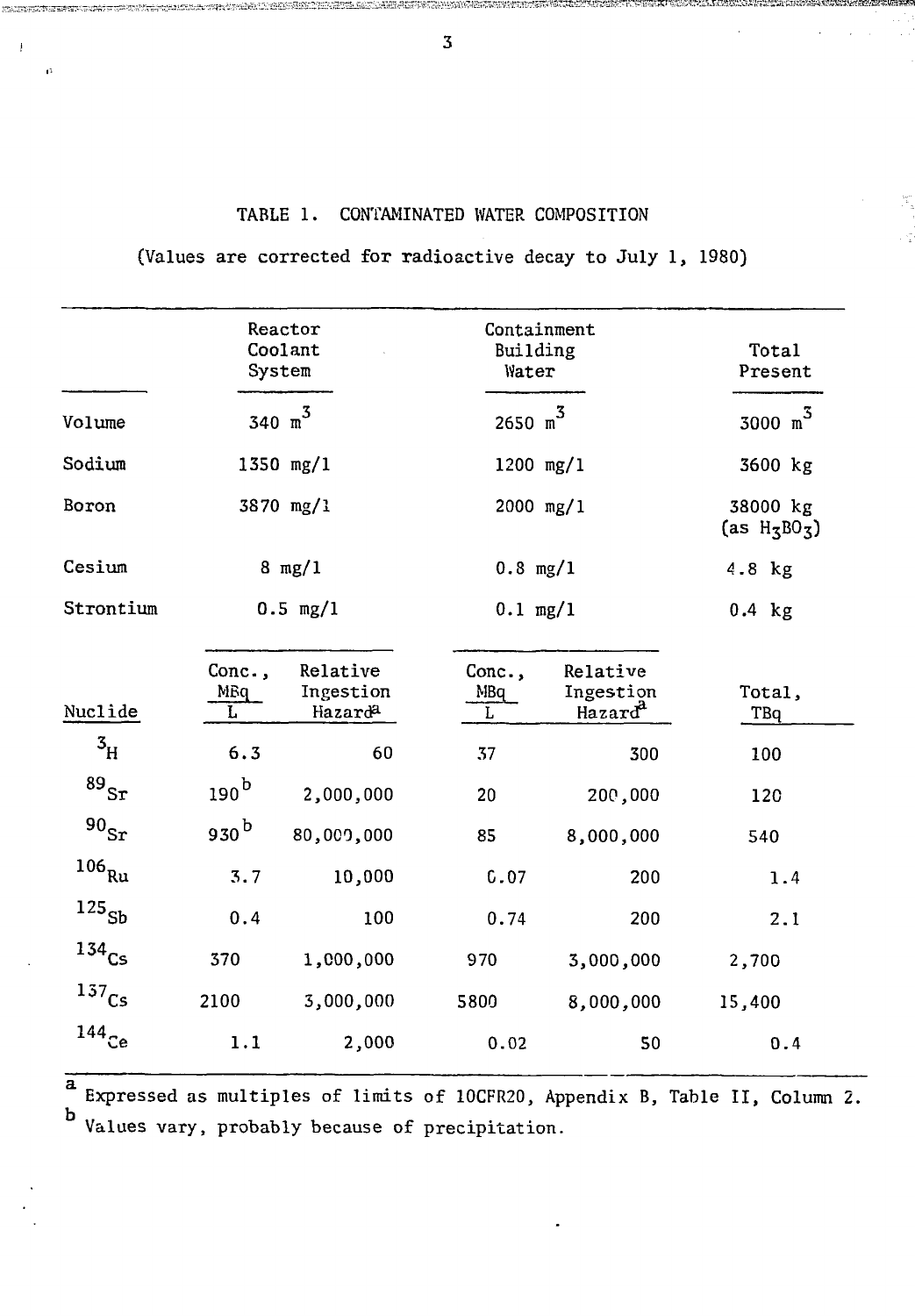### TABLE 1. CONTAMINATED WATER COMPOSITION

(Values are corrected for radioactive decay to July 1, 1980)

|                           |                    | Reactor<br>Coolant<br>System     | Containment<br>Building<br>Water |                                              | Total<br>Present            |  |
|---------------------------|--------------------|----------------------------------|----------------------------------|----------------------------------------------|-----------------------------|--|
| Volume                    |                    | 340 $m^3$                        | 2650 m <sup>3</sup>              | 3000 $m^3$                                   |                             |  |
| Sodium                    |                    | 1350 mg/1                        | 1200 mg/1                        |                                              | 3600 kg                     |  |
| Boron                     |                    | 3870 mg/1                        | 2000 mg/1                        |                                              | 38000 kg<br>(as $H_5B0_5$ ) |  |
| Cesium                    |                    | $8 \text{ mg}/1$                 | $0.8$ mg/1                       |                                              | 4.8 kg                      |  |
| Strontium                 | $0.5$ mg/1         |                                  | $0.1$ mg/1                       | $0.4$ kg                                     |                             |  |
| Nuclide                   | Conc.,<br>MBq<br>L | Relative<br>Ingestion<br>Hazarda | Conc.,<br>MBq<br>L               | Relative<br>Ingestion<br>Hazard <sup>a</sup> | Total,<br>TBq               |  |
| $\mathbf{3}_{\mathrm{H}}$ | 6.3                | 60                               | 37                               | 300                                          | 100                         |  |
| $^{89}\rm{Sr}$            | 190 <sup>b</sup>   | 2,000,000                        | 20                               | 200,000                                      | 120                         |  |
| $^{90}\rm{Sr}$            | 930 <sup>b</sup>   | 80,009,000                       | 85                               | 8,000,000                                    | 540                         |  |
| $^{106}\mathrm{Ru}$       | 3.7                | 10,000                           | 0.07                             | 200                                          | 1.4                         |  |
| $^{125}\!{\rm Sb}$        | 0.4                | 100                              | 0.74                             | 200                                          | 2.1                         |  |
| $134$ <sub>Cs</sub>       | 370                | 1,000,000                        | 970                              | 3,000,000                                    | 2,700                       |  |
| $^{137}\!\mathrm{Cs}$     | 2100               | 3,000,000                        | 5800                             | 8,000,000                                    | 15,400                      |  |
| $144$ Ce                  | 1.1                | 2,000                            | 0.02                             | 50                                           | 0.4                         |  |

Expressed as multiples of limits of 10CFR20, Appendix B, Table II, Column 2. Values vary, probably because of precipitation.

 ${\bf 3}$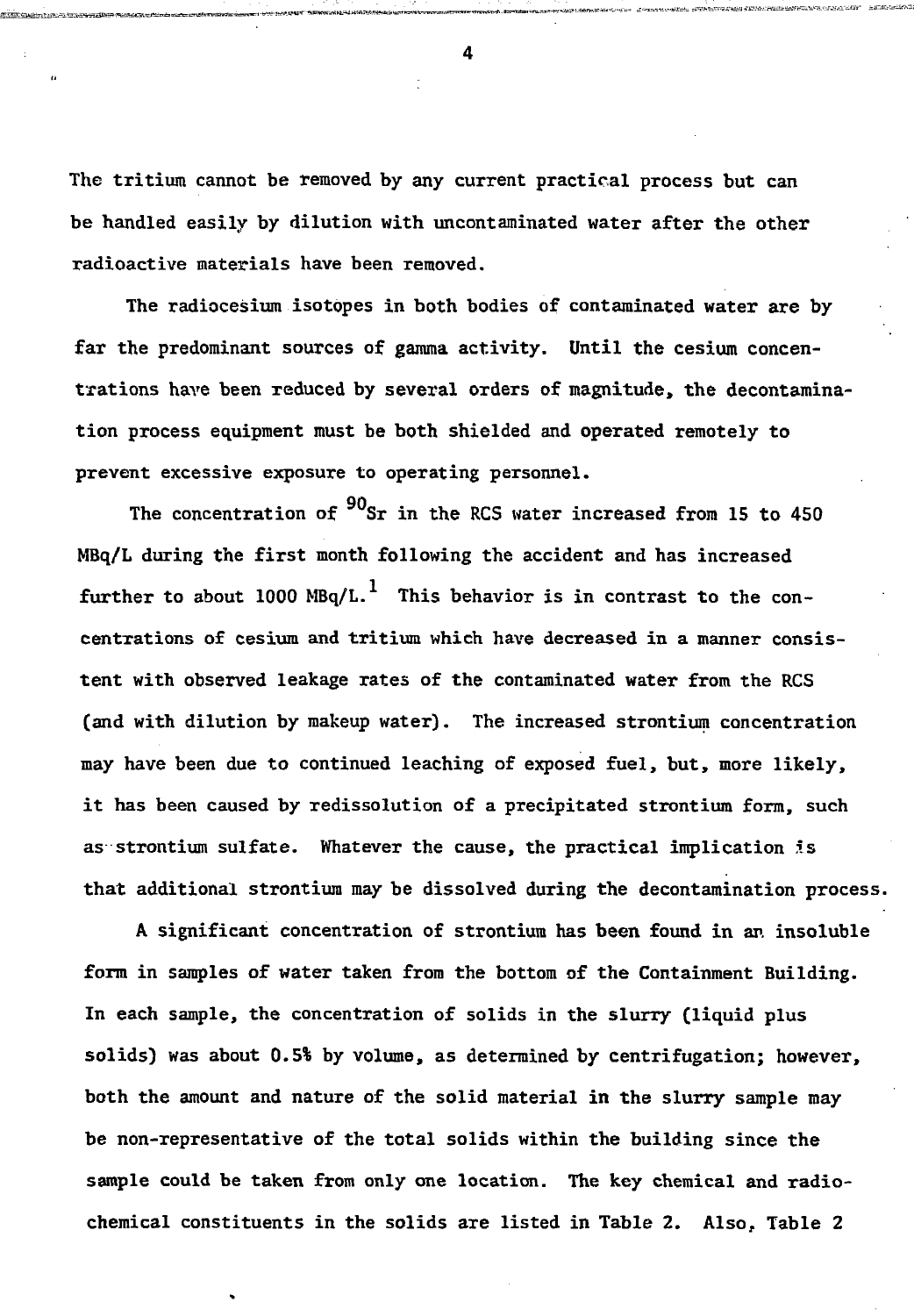The tritium cannot be removed by any current practical process but can be handled easily by dilution with uncontaminated water after the other radioactive materials have been removed.

The radiocesium isotopes in both bodies of contaminated water are by far the predominant sources of gamma activity. Until the cesium concentrations have been reduced by several orders of magnitude, the decontamination process equipment must be both shielded and operated remotely to prevent excessive exposure to operating personnel.

The concentration of  $^{90}$ Sr in the RCS water increased from 15 to 450 MBq/L during the first month following the accident and has increased further to about 1000 MBq/L.<sup>1</sup> This behavior is in contrast to the concentrations of cesium and tritium which have decreased in a manner consistent with observed leakage rates of the contaminated water from the RCS (and with dilution by makeup water). The increased strontium concentration may have been due to continued leaching of exposed fuel, but, more likely, it has been caused by redissolution of a precipitated strontium form, such as strontium sulfate. Whatever the cause, the practical implication is that additional strontium may be dissolved during the decontamination process.

A significant concentration of strontium has been found in an insoluble form in samples of water taken from the bottom of the Containment Building. In each sample, the concentration of solids in the slurry (liquid plus solids) was about 0.5% by volume, as determined by centrifugation; however, both the amount and nature of the solid material in the slurry sample may be non-representative of the total solids within the building since the sample could be taken from only one location. The key chemical and radiochemical constituents in the solids are listed in Table 2. Also, Table 2

 $\overline{\mathbf{4}}$ 

t™. jft w\_i?«5T<sup>r</sup>

iSWWSifiW.'AJ JAMA PERSEKA JI JAMA DI MINI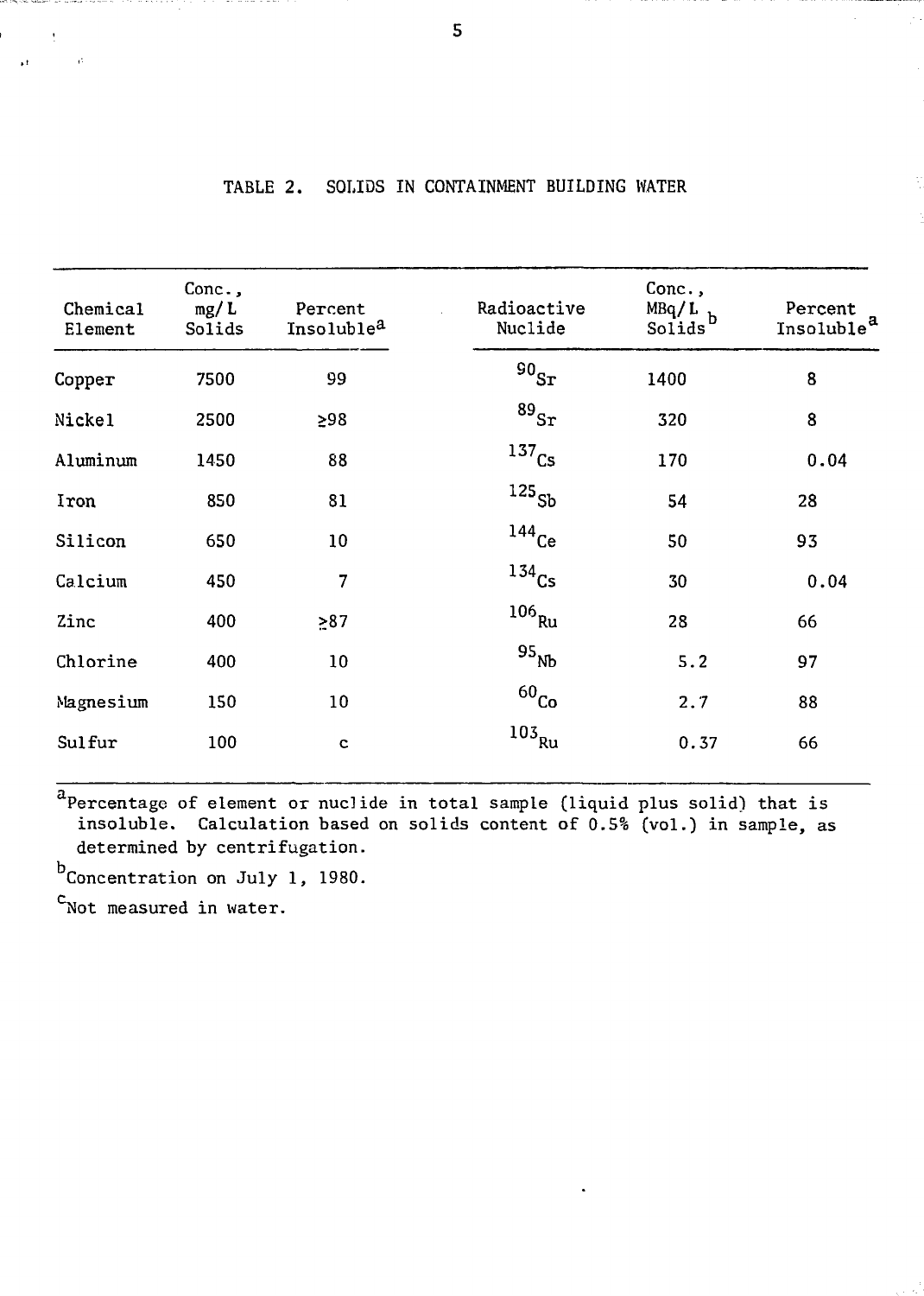| Chemical<br>Element | Conc.,<br>mg/L<br>Solids | Percent<br>Insoluble <sup>a</sup> | Radioactive<br>Nuclide | Conc.,<br>$MBq/L$ <sub>b</sub><br>Solids | Percent<br>Insoluble <sup>a</sup> |
|---------------------|--------------------------|-----------------------------------|------------------------|------------------------------------------|-----------------------------------|
| Copper              | 7500                     | 99                                | 90 <sub>ST</sub>       | 1400                                     | 8                                 |
| Nickel              | 2500                     | ≥98                               | $^{89}\rm{Sr}$         | 320                                      | 8                                 |
| Aluminum            | 1450                     | 88                                | $137$ <sub>Cs</sub>    | 170                                      | 0.04                              |
| Iron                | 850                      | 81                                | $^{125}\!$ Sb          | 54                                       | 28                                |
| Silicon             | 650                      | 10                                | $144$ Ce               | 50                                       | 93                                |
| Calcium             | 450                      | 7                                 | $134$ Cs               | 30                                       | 0.04                              |
| Zinc                | 400                      | $-87$                             | $106$ Ru               | 28                                       | 66                                |
| Chlorine            | 400                      | 10                                | 95 <sub>Nb</sub>       | 5.2                                      | 97                                |
| Magnesium           | 150                      | 10                                | 60 <sub>Co</sub>       | 2.7                                      | 88                                |
| Sulfur              | 100                      | $\mathbf c$                       | $103$ <sub>Ru</sub>    | 0.37                                     | 66                                |

## TABLE 2. SOLIDS IN CONTAINMENT BUILDING WATER

Percentage of element or nuclide in total sample (liquid plus solid) that is insoluble. Calculation based on solids content of 0.5% (vol.) in sample, as determined by centrifugation.

b<br>Concentration on July 1, 1980.

 $c$ Not measured in water.

 $\mathbf{A}^{\mathbf{r}}$ 

 $\overline{5}$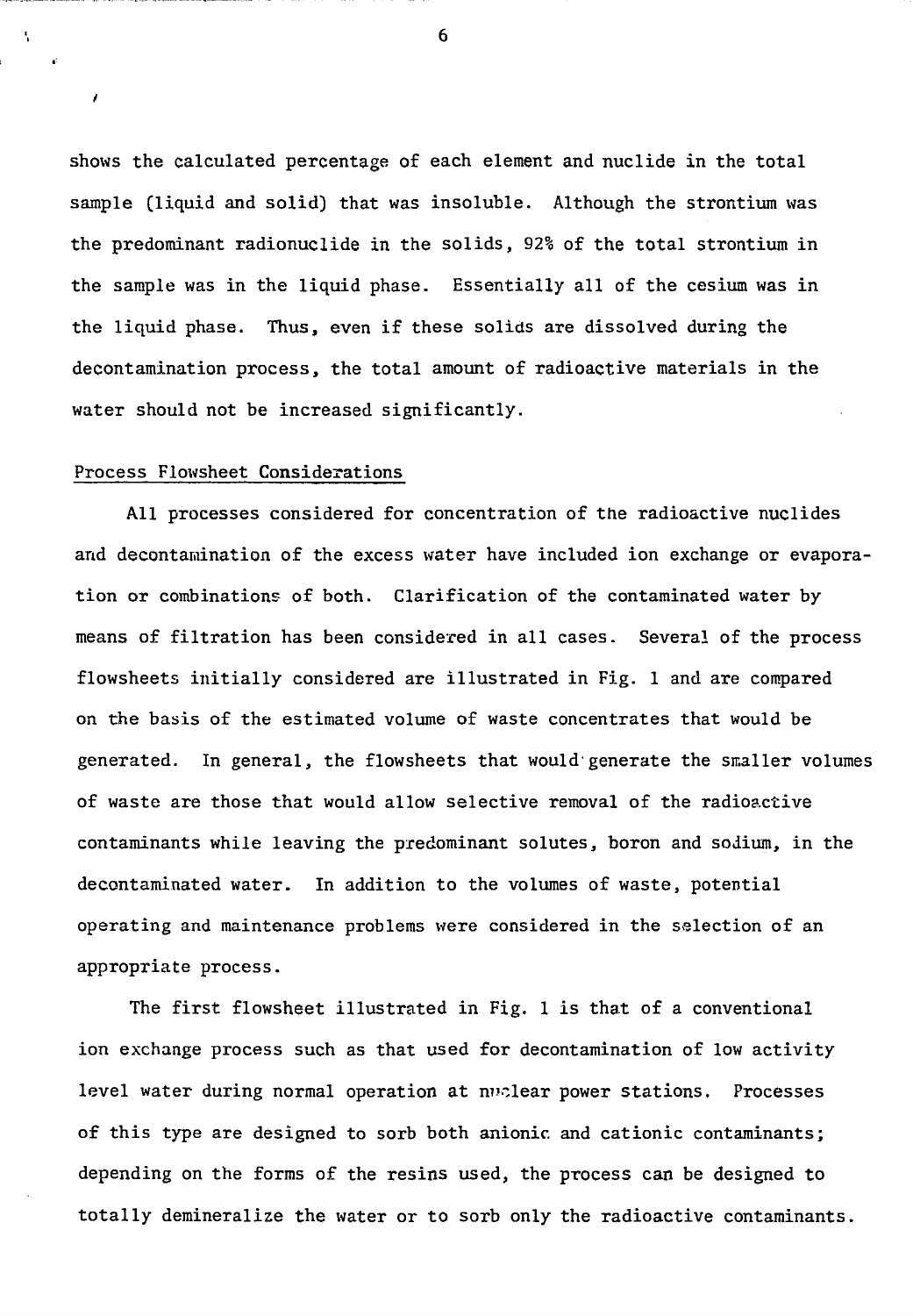shows the calculated percentage of each element and nuclide in the total sample (liquid and solid) that was insoluble. Although the strontium was the predominant radionuclide in the solids, 92% of the total strontium in the sample was in the liquid phase. Essentially all of the cesium was in the liquid phase. Thus, even if these solids are dissolved during the decontamination process, the total amount of radioactive materials in the water should not be increased significantly.

#### Process Flowsheet Considerations

A.

All processes considered for concentration of the radioactive nuclides and decontamination of the excess water have included ion exchange or evaporation or combinations of both. Clarification of the contaminated water by means of filtration has been considered in all cases. Several of the process flowsheets initially considered are illustrated in Fig. 1 and are compared on the basis of the estimated volume of waste concentrates that would be generated. In general, the flowsheets that would generate the smaller volumes of waste are those that would allow selective removal of the radioactive contaminants while leaving the predominant solutes, boron and sodium, in the decontaminated water. In addition to the volumes of waste, potential operating and maintenance problems were considered in the selection of an appropriate process.

The first flowsheet illustrated in Fig. 1 is that of a conventional ion exchange process such as that used for decontamination of low activity level water during normal operation at nuclear power stations. Processes of this type are designed to sorb both anionir. and cationic contaminants; depending on the forms of the resins used, the process can be designed to totally demineralize the water or to sorb only the radioactive contaminants.

6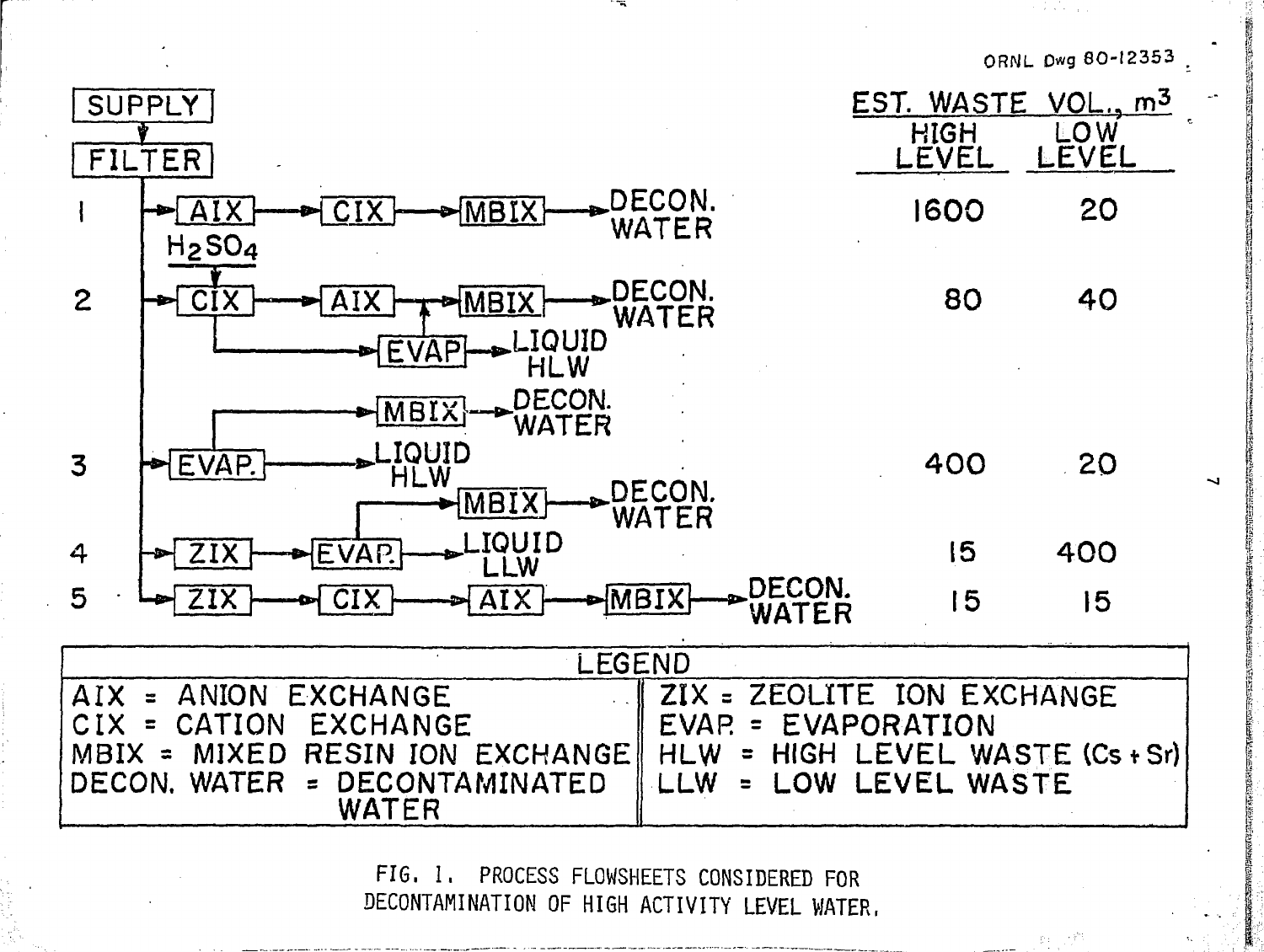

**FIG. 1. PROCESS FLOWSHEETS CONSIDERED FOR DECONTAMINATION OF HIGH ACTIVITY LEVEL WATER.**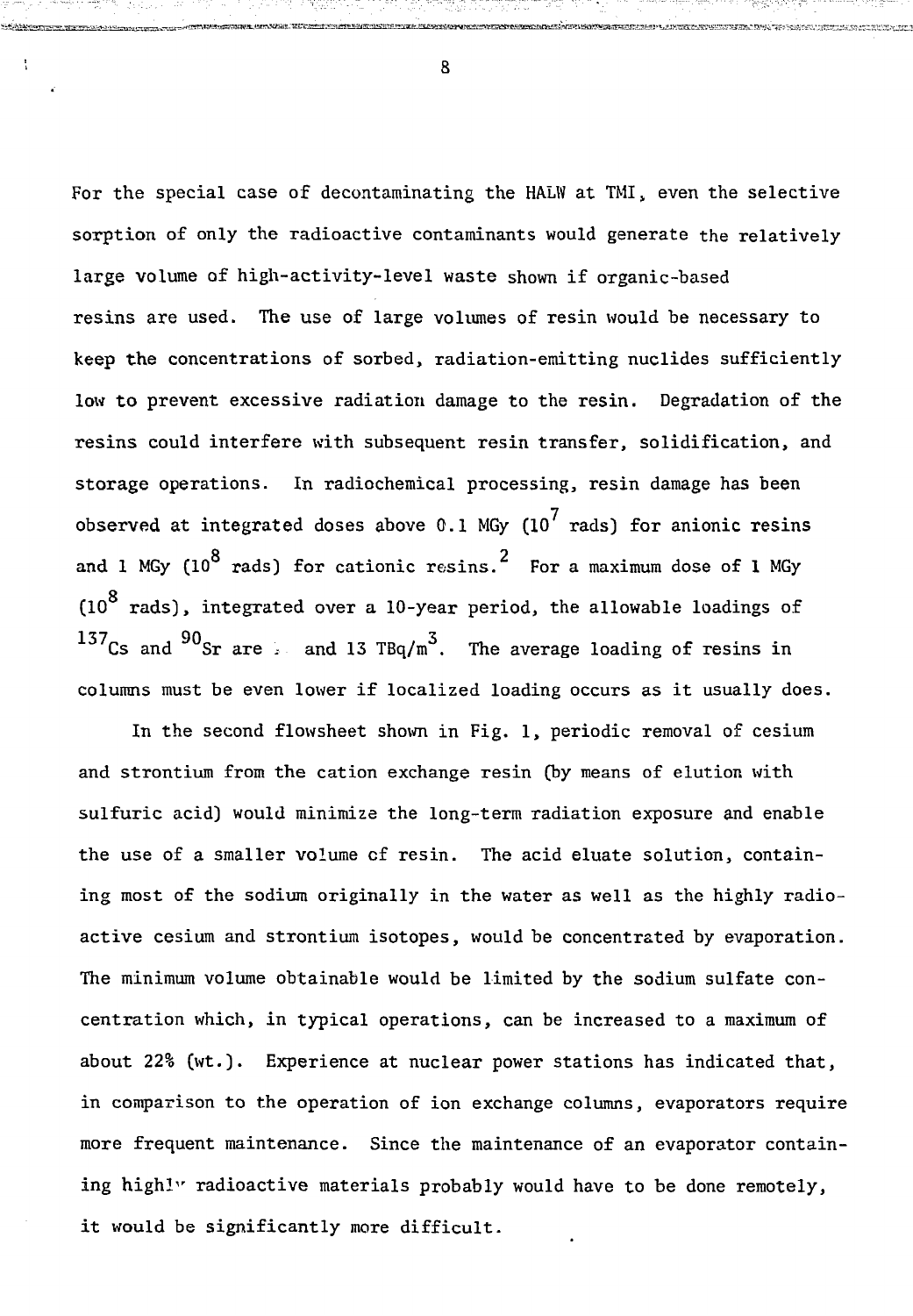For the special case of decontaminating the HALW at TMI, even the selective sorption of only the radioactive contaminants would generate the relatively large volume of high-activity-level waste shown if organic-based resins are used. The use of large volumes of resin would be necessary to keep the concentrations of sorbed, radiation-emitting nuclides sufficiently low to prevent excessive radiation damage to the resin. Degradation of the resins could interfere with subsequent resin transfer, solidification, and storage operations. In radiochemical processing, resin damage has been observed at integrated doses above 0.1 MGy (10<sup>7</sup> rads) for anionic resins and 1 MGy (10<sup>8</sup> rads) for cationic resins.<sup>2</sup> For a maximum dose of 1 MGy and 1 MGy (10  $\mu$  mg/s) for cationic resins. For a maximum dose of 1  $\mu$  MGy (10  $\mu$  MGy) and 1  $\mu$ Q (10 rads), integrated over a 10-year period, the allowable loadings of 137Cs and  $90$ Sr are see and 13 TBq/m<sup>3</sup>. The average loading of resins in columns must be even lower if localized loading occurs as it usually does.

In the second flowsheet shown in Fig. 1, periodic removal of cesium and strontium from the cation exchange resin (by means of elution with sulfuric acid) would minimize the long-term radiation exposure and enable the use of a smaller volume of resin. The acid eluate solution, containing most of the sodium originally in the water as well as the highly radioactive cesium and strontium isotopes, would be concentrated by evaporation. The minimum volume obtainable would be limited by the sodium sulfate concentration which, in typical operations, can be increased to a maximum of about 22% (wt.). Experience at nuclear power stations has indicated that, in comparison to the operation of ion exchange columns, evaporators require more frequent maintenance. Since the maintenance of an evaporator containing highly radioactive materials probably would have to be done remotely, it would be significantly more difficult.

8

<sup>I</sup>X\*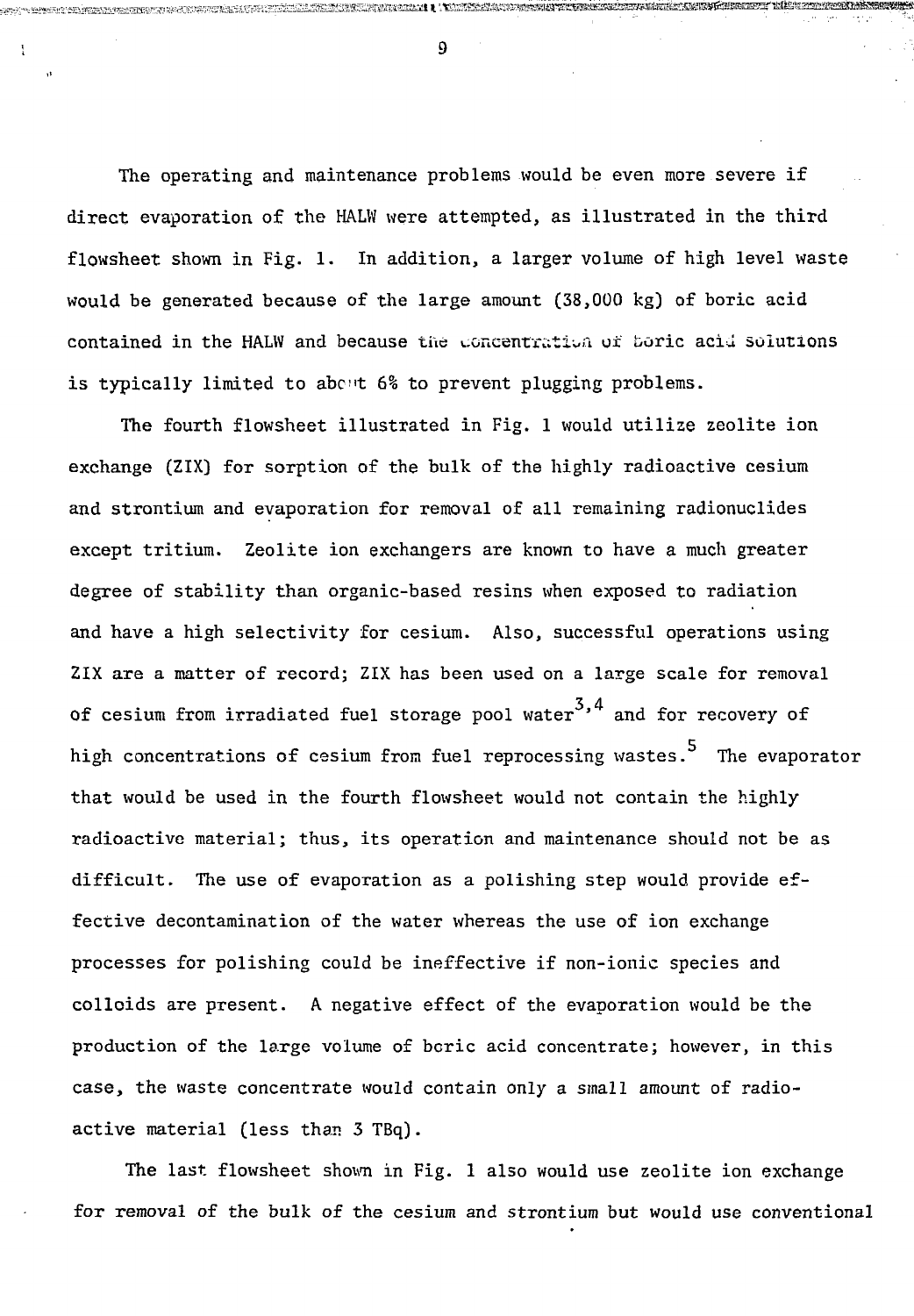The operating and maintenance problems would be even more severe if direct evaporation of the HALW were attempted, as illustrated in the third flowsheet shown in Fig. 1. In addition, a larger volume of high level waste would be generated because of the large amount (38,000 kg) of boric acid contained in the HALW and because the concentration of boric acid solutions is typically limited to about 6% to prevent plugging problems.

The fourth flowsheet illustrated in Fig. 1 would utilize zeolite ion exchange (ZIX) for sorption of the bulk of the highly radioactive cesium and strontium and evaporation for removal of all remaining radionuclides except tritium. Zeolite ion exchangers are known to have a much greater degree of stability than organic-based resins when exposed to radiation and have a high selectivity for cesium. Also, successful operations using ZIX are a matter of record; ZIX has been used on a large scale for removal of cesium from irradiated fuel storage pool water $^{\mathcal{3,4}}$  and for recovery of high concentrations of cesium from fuel reprocessing wastes. The evaporator that would be used in the fourth flowsheet would not contain the highly radioactive material; thus, its operation and maintenance should not be as difficult. The use of evaporation as a polishing step would provide effective decontamination of the water whereas the use of ion exchange processes for polishing could be ineffective if non-ionic species and colloids are present. A negative effect of the evaporation would be the production of the large volume of boric acid concentrate; however, in this case, the waste concentrate would contain only a small amount of radioactive material (less than 3 TBq).

The last flowsheet shown in Fig. 1 also would use zeolite ion exchange for removal of the bulk of the cesium and strontium but would use conventional

l  $\overline{9}$ 

**RESERVED BY A LIMIT AND RELEASE REPORT OF A LIMIT OF A LIMITED BY A LIMITED BY A LIMITED BY A LIMITED BY A LIM**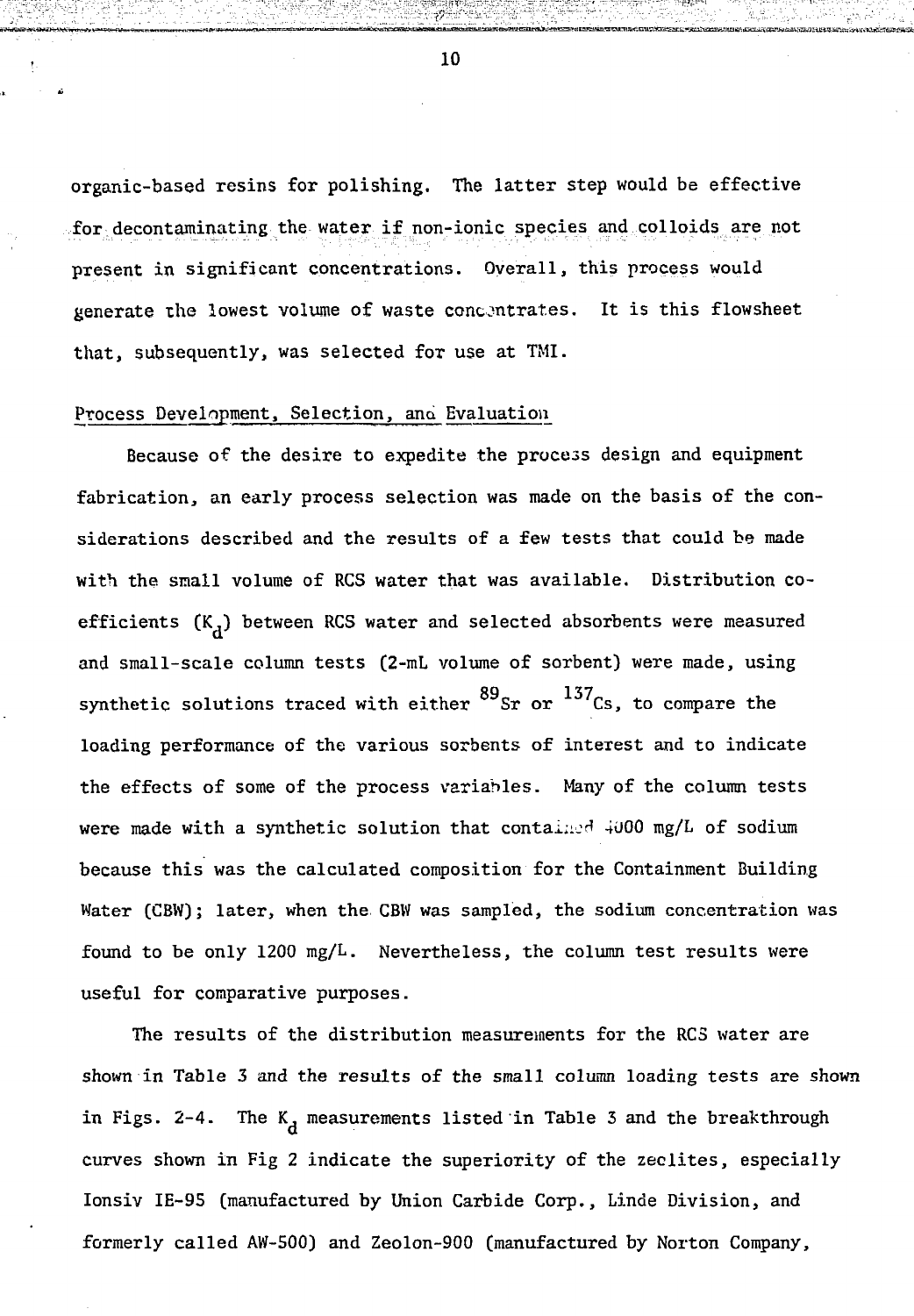organic-based resins for polishing. The latter step would be effective for decontaminating the water if non-ionic species and colloids are not present in significant concentrations. Overall, this process would generate the lowest volume of waste concentrates. It is this flowsheet that, subsequently, was selected for use at TMI.

#### Process Development, Selection, and Evaluation

Because of the desire to expedite the process design and equipment fabrication, an early process selection was made on the basis of the considerations described and the results of a few tests that could be made with the small volume of RCS water that was available. Distribution coefficients  $(K_A)$  between RCS water and selected absorbents were measured and small-scale column tests (2-mL volume of sorbent) were made, using synthetic solutions traced with either  $^{89}\rm{Sr}$  or  $^{137}\rm{Cs}$ , to compare the loading performance of the various sorbents of interest and to indicate the effects of some of the process variables. Many of the column tests were made with a synthetic solution that contained  $4000$  mg/L of sodium because this was the calculated composition for the Containment Building Water (CBW); later, when the CBW was sampled, the sodium concentration was found to be only 1200 mg/L. Nevertheless, the column test results were useful for comparative purposes.

The results of the distribution measurements for the RCS water are shown in Table 3 and the results of the small column loading tests are shown in Figs. 2-4. The  $K_A$  measurements listed in Table 3 and the breakthrough curves shown in Fig 2 indicate the superiority of the zeolites, especially Ionsiv IE-95 (manufactured by Union Carbide Corp., Linde Division, and formerly called AW-500) and Zeolon-900 (manufactured by Norton Company,

10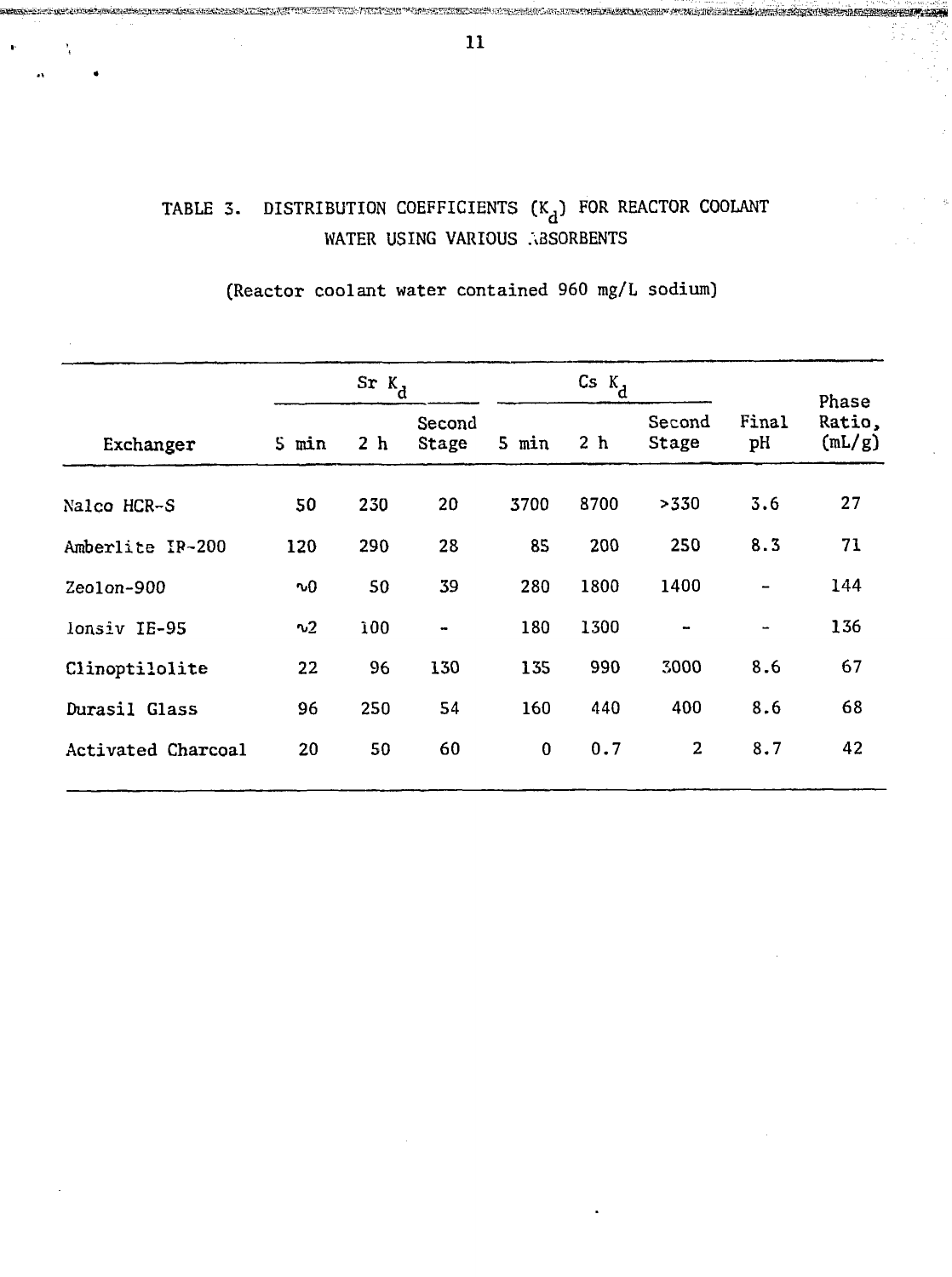#### DISTRIBUTION COEFFICIENTS  $(K_d)$  for reactor COOLANT TABLE 3. WATER USING VARIOUS ABSORBENTS

## (Reactor coolant water contained 960 mg/L sodium)

|                    | $S_{r}$ $K_{d}$ |                |                 | $\mathsf{c}_{\mathsf{s}}$ $\mathsf{k}_{\mathsf{d}}$ |                |                 |             | Phase            |
|--------------------|-----------------|----------------|-----------------|-----------------------------------------------------|----------------|-----------------|-------------|------------------|
| Exchanger          | 5 min           | 2 <sub>h</sub> | Second<br>Stage | 5 min                                               | 2 <sub>h</sub> | Second<br>Stage | Final<br>pH | Ratio,<br>(mL/g) |
| Nalco HCR-S        | 50              | 230            | 20              | 3700                                                | 8700           | >330            | 3.6         | 27               |
| Amberlite IR-200   | 120             | 290            | 28              | 85                                                  | 200            | 250             | 8.3         | 71               |
| $Zeolon-900$       | ∿0              | 50             | 39              | 280                                                 | 1800           | 1400            |             | 144              |
| lonsiv IE-95       | v <sub>2</sub>  | 100            | $\blacksquare$  | 180                                                 | 1300           | $\blacksquare$  |             | 136              |
| Clinoptilolite     | 22              | 96             | 130             | 135                                                 | 990            | 3000            | 8.6         | 67               |
| Durasil Glass      | 96              | 250            | 54              | 160                                                 | 440            | 400             | 8.6         | 68               |
| Activated Charcoal | 20              | 50             | 60              | $\bf{0}$                                            | 0.7            | $\mathbf{2}$    | 8.7         | 42               |

III. KATI DESERA INDUSTRIBUTIO GENE

ernes annuel des architectural annu l'Iris

ter alle de la component de la component de la component de la component de la component de la component de la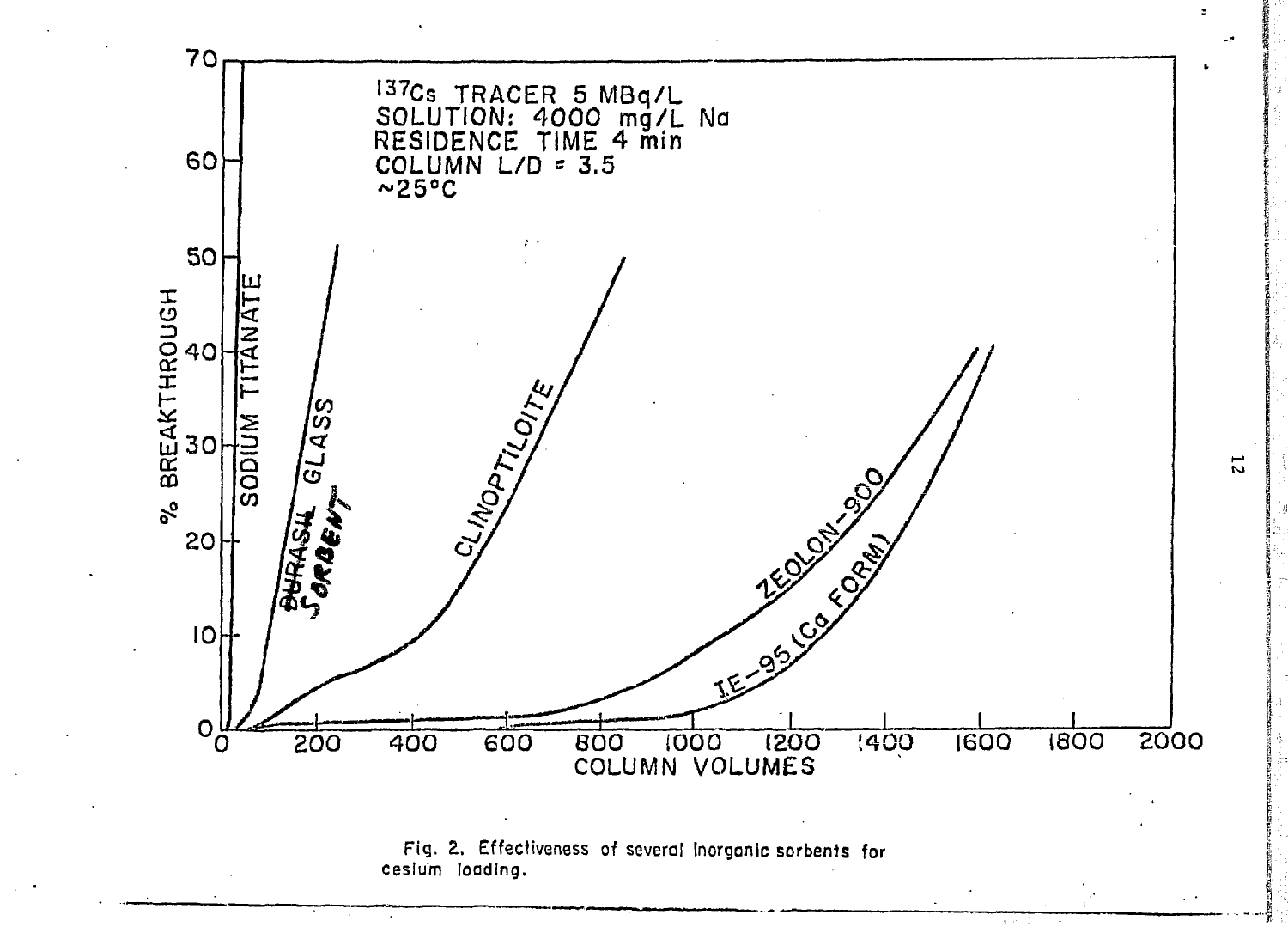

Fig. 2. Effectiveness of several Inorganic sorbants for cesium loading.

 $\overline{z}$ 

 $\bullet$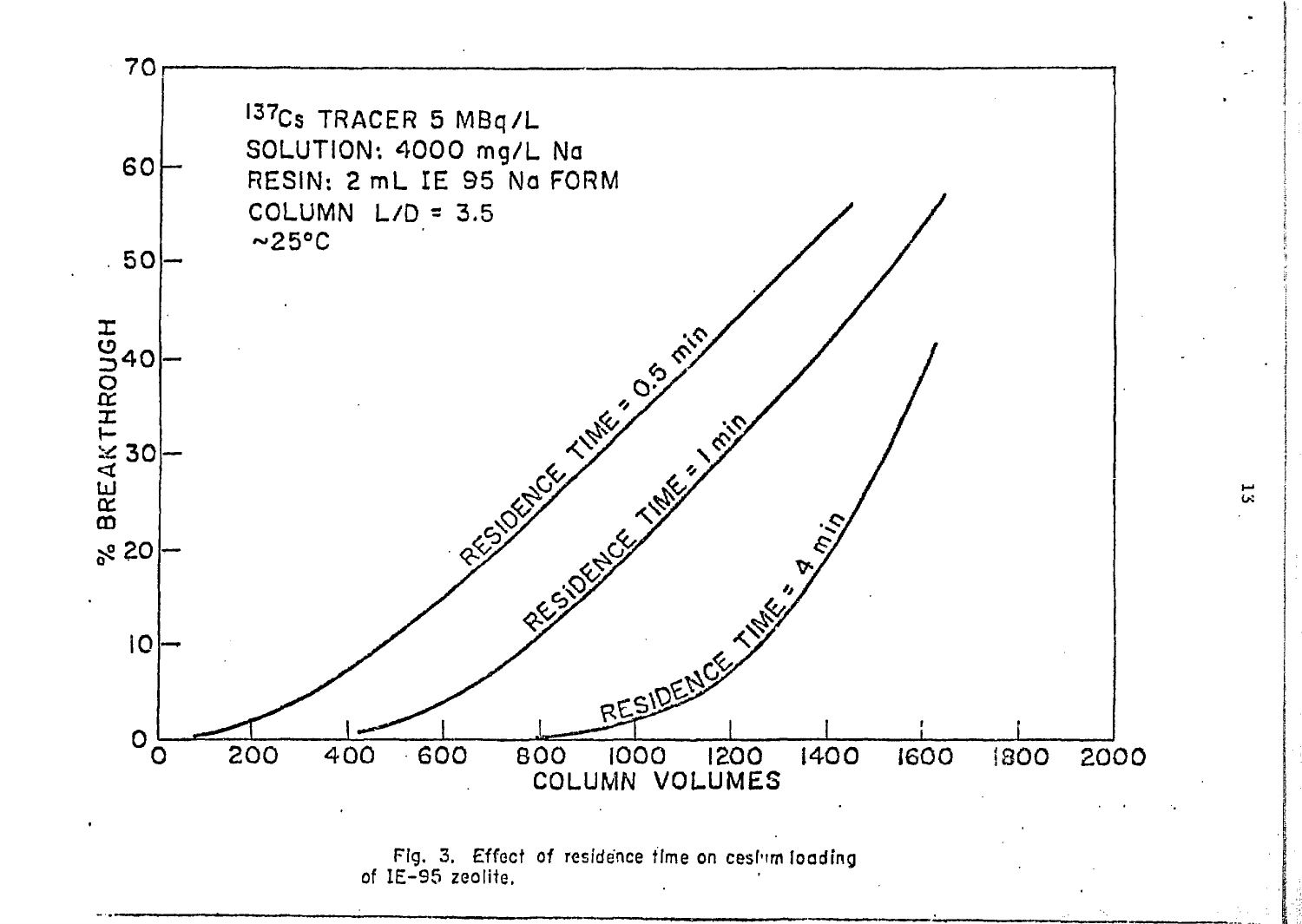



 $\vec{a}$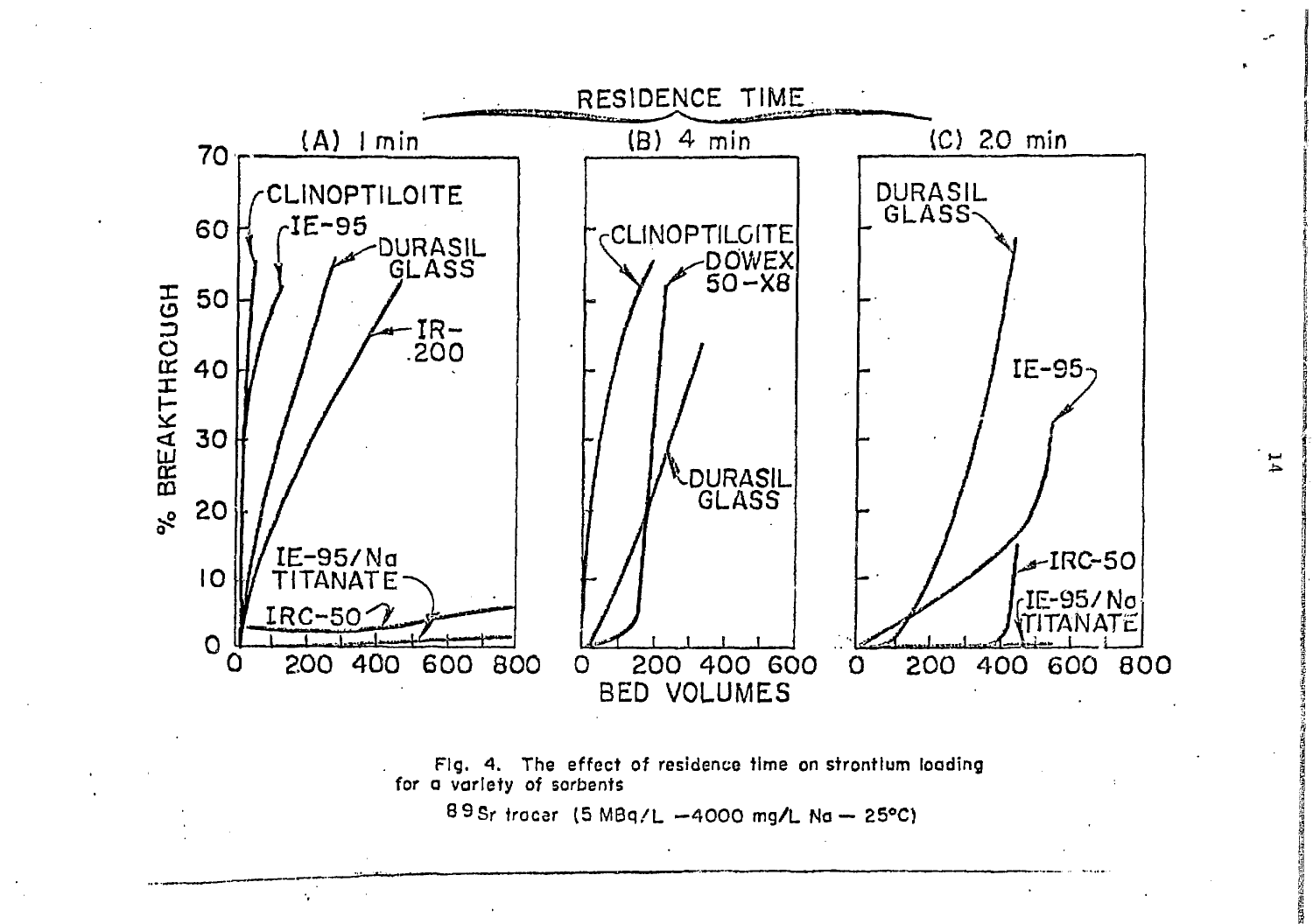

Fig. 4. The effect of residence time on strontium loading for a variety of sorbents

89Sr tracer (5 MBq/L -4000 mg/L Na - 25°C)

 $\mathcal{L}_{\mathbf{r}}$ 

 $\mathbf{H}$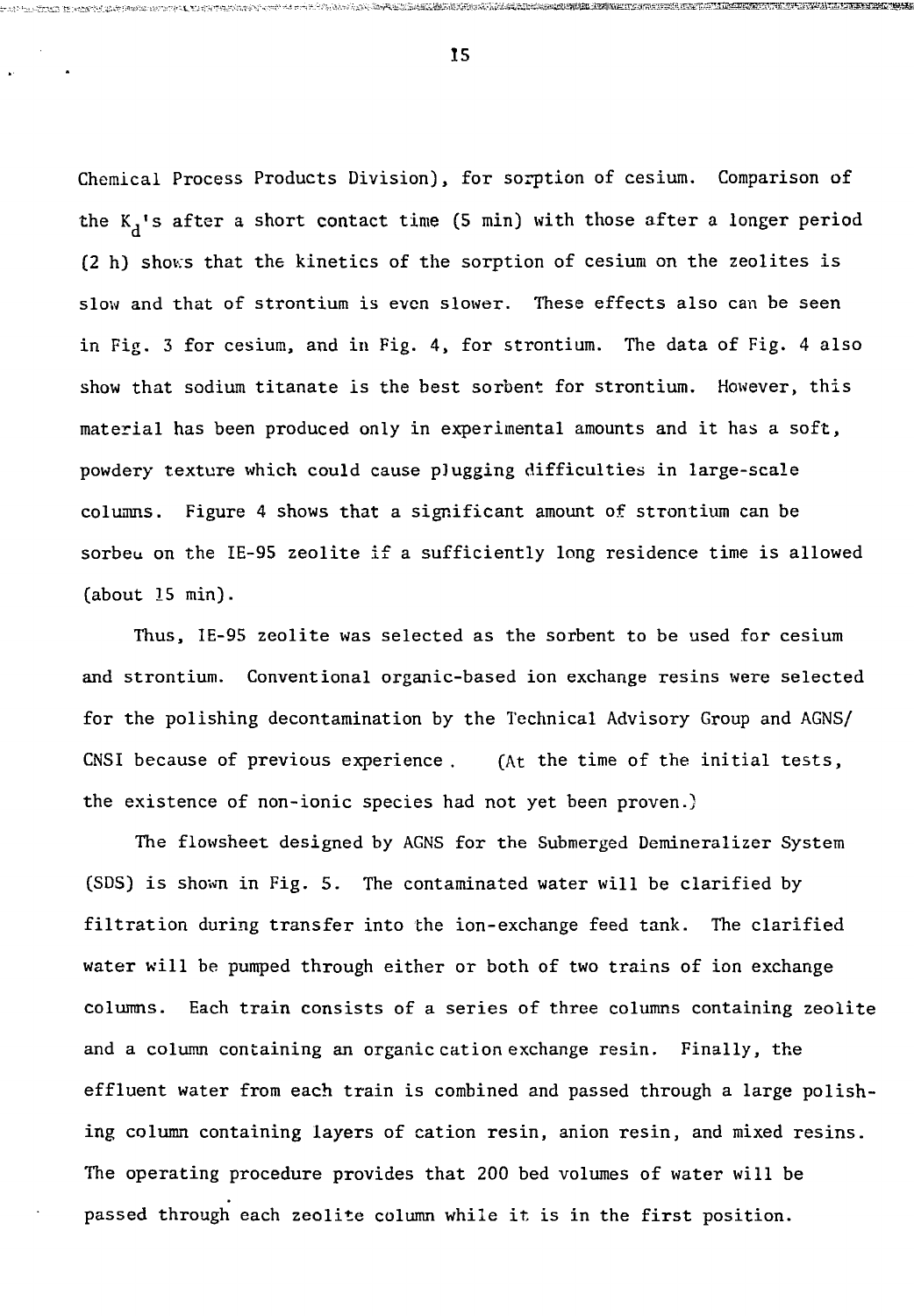Chemical Process Products Division), for sorption of cesium. Comparison of the  $K_A$ 's after a short contact time (5 min) with those after a longer period (2 h) shows that the kinetics of the sorption of cesium on the zeolites is slow and that of strontium is even slower. These effects also can be seen in Fig. 3 for cesium, and in Fig. 4, for strontium. The data of Fig. 4 also show that sodium titanate is the best sorbent for strontium. However, this material has been produced only in experimental amounts and it has a soft, powdery texture which could cause plugging difficulties in large-scale columns. Figure 4 shows that a significant amount of strontium can be sorbeu on the IE-95 zeolite if a sufficiently long residence time is allowed (about 15 min).

Thus, IE-95 zeolite was selected as the sorbent to be used for cesium and strontium. Conventional organic-based ion exchange resins were selected for the polishing decontamination by the Technical Advisory Group and AGNS/ CNSI because of previous experience . (At the time of the initial tests, the existence of non-ionic species had not yet been proven.)

The flowsheet designed by AGNS for the Submerged Demineralizer System (SDS) is shown in Fig. 5. The contaminated water will be clarified by filtration during transfer into the ion-exchange feed tank. The clarified water will be pumped through either or both of two trains of ion exchange columns. Each train consists of a series of three columns containing zeolite and a column containing an organic cation exchange resin. Finally, the effluent water from each train is combined and passed through a large polishing column containing layers of cation resin, anion resin, and mixed resins. The operating procedure provides that 200 bed volumes of water will be passed through each zeolite column while it is in the first position.

15

 $\approx$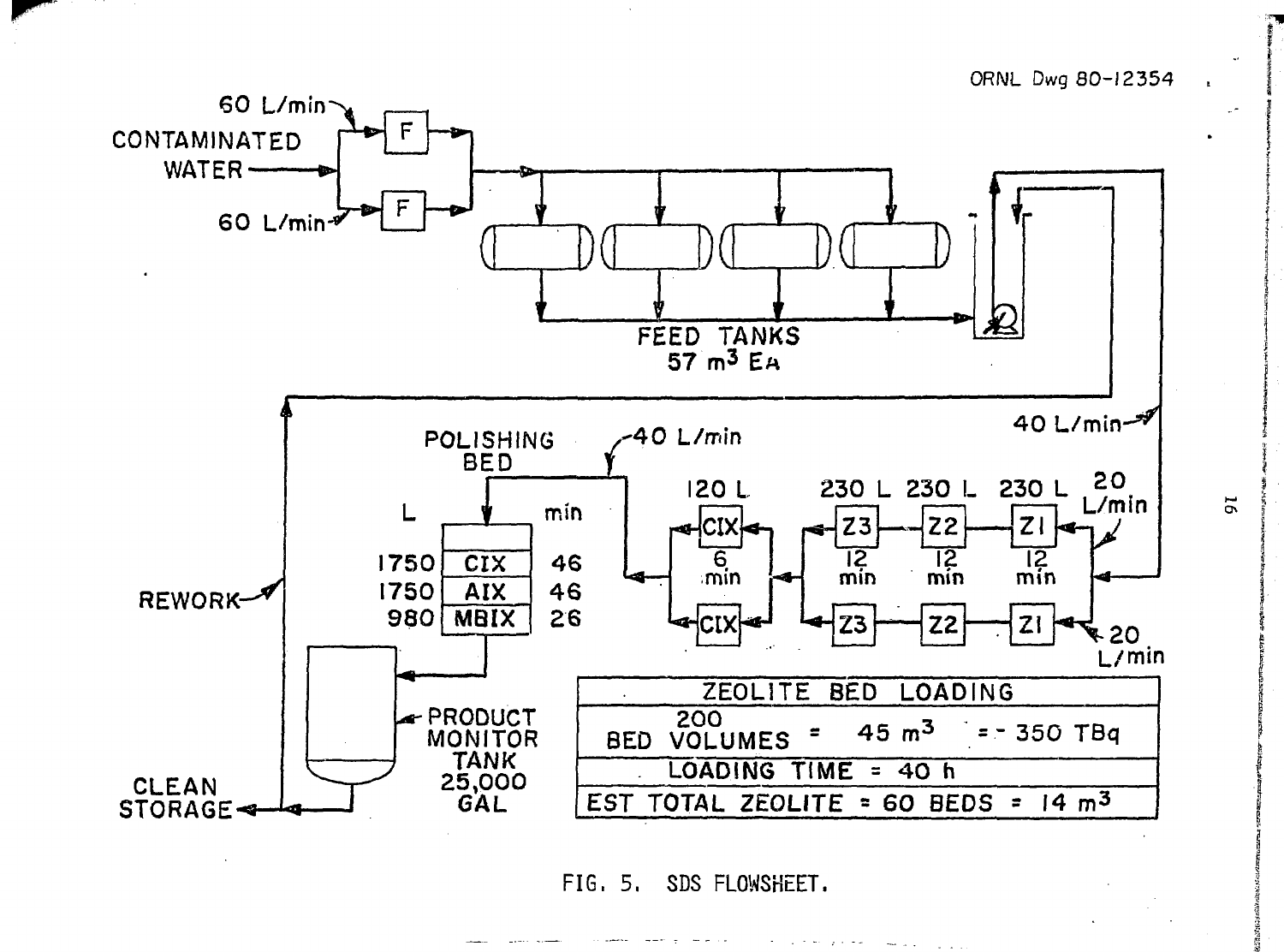ORNL Dwg 80-12354



FIG. 5. SDS FLOWSHEET.

 $16$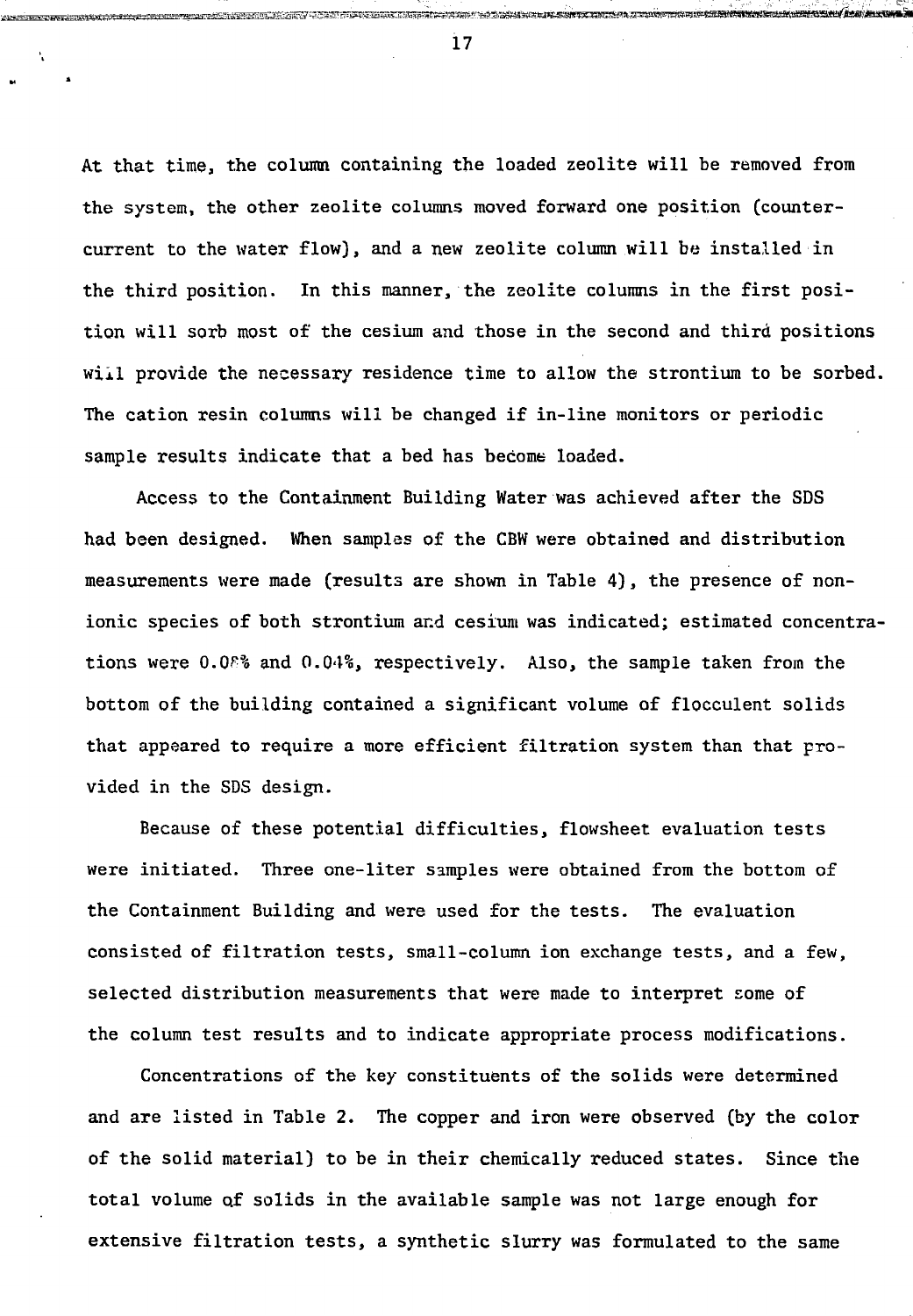At that time, the column containing the loaded zeolite will be removed from the system, the other zeolite columns moved forward one position (countercurrent to the water flow), and a new zeolite column will be installed in the third position. In this manner, the zeolite columns in the first position will sorb most of the cesium and those in the second and third positions will provide the necessary residence time to allow the strontium to be sorbed. The cation resin columns will be changed if in-line monitors or periodic sample results indicate that a bed has become loaded.

Access to the Containment Building Water was achieved after the SDS had been designed. When samples of the CBW were obtained and distribution measurements were made (results are shown in Table 4) , the presence of nonionic species of both strontium and cesium was indicated; estimated concentrations were O.0F% and 0.04%, respectively. Also, the sample taken from the bottom of the building contained a significant volume of flocculent solids that appeared to require a more efficient filtration system than that provided in the SDS design.

Because of these potential difficulties, flowsheet evaluation tests were initiated. Three one-liter samples were obtained from the bottom of the Containment Building and were used for the tests. The evaluation consisted of filtration tests, small-column ion exchange tests, and a few, selected distribution measurements that were made to interpret some of the column test results and to indicate appropriate process modifications.

Concentrations of the key constituents of the solids were determined and are listed in Table 2. The copper and iron were observed (by the color of the solid material) to be in their chemically reduced states. Since the total volume of solids in the available sample was not large enough for extensive filtration tests, a synthetic slurry was formulated to the same

17

N

au kalena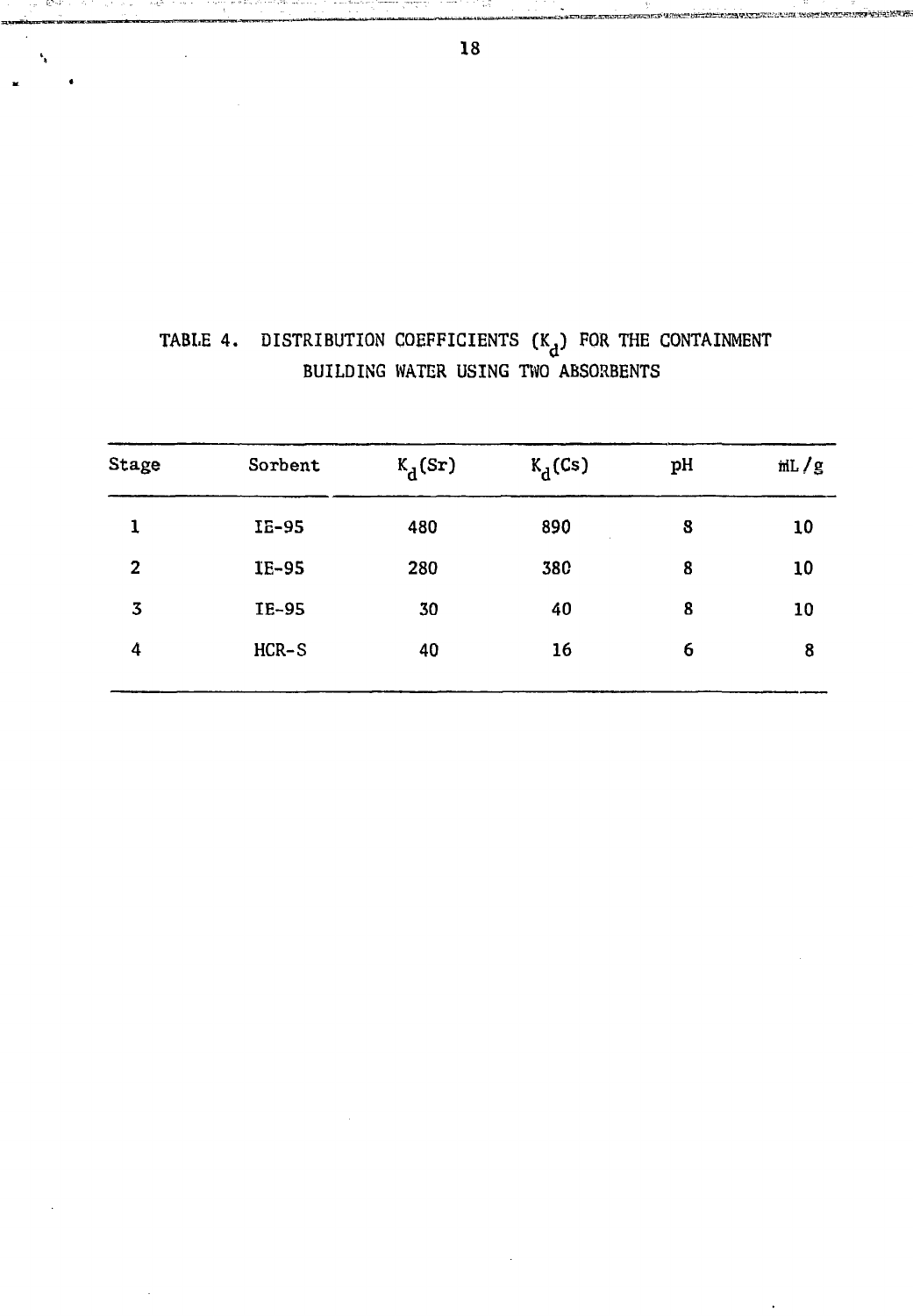| Stage | Sorbent | $K_d(Sr)$ | $K_d(Cs)$ | pH | mL/g |
|-------|---------|-----------|-----------|----|------|
| ı     | IE-95   | 480       | 890       | 8  | 10   |
| 2     | IE-95   | 280       | 380       | 8  | 10   |
| 3     | IE-95   | 30        | 40        | 8  | 10   |
| 4     | $HCR-S$ | 40        | 16        | 6  | 8    |
|       |         |           |           |    |      |

# TABLE 4. DISTRIBUTION COEFFICIENTS  $(K_d)$  FOR THE CONTAINMENT<br>BUILDING WATER USING TWO ABSORBENTS

station and William Control to the Product of Alberta and Alberta Control of Control of Alberta and S

 $\alpha$  , and  $\alpha$  ,  $\beta$  ,  $\beta$  ,  $\beta$ 

in a distance in the control of the company of the company of the control of the control of the control of the<br>Second Second Second Second Second Second Second Second Second Second Second Second Second Second Second Second

-6542

۹.  $\ddot{\phantom{1}}$  بمعاصر الحيومات

n e Du Pormi Pironi e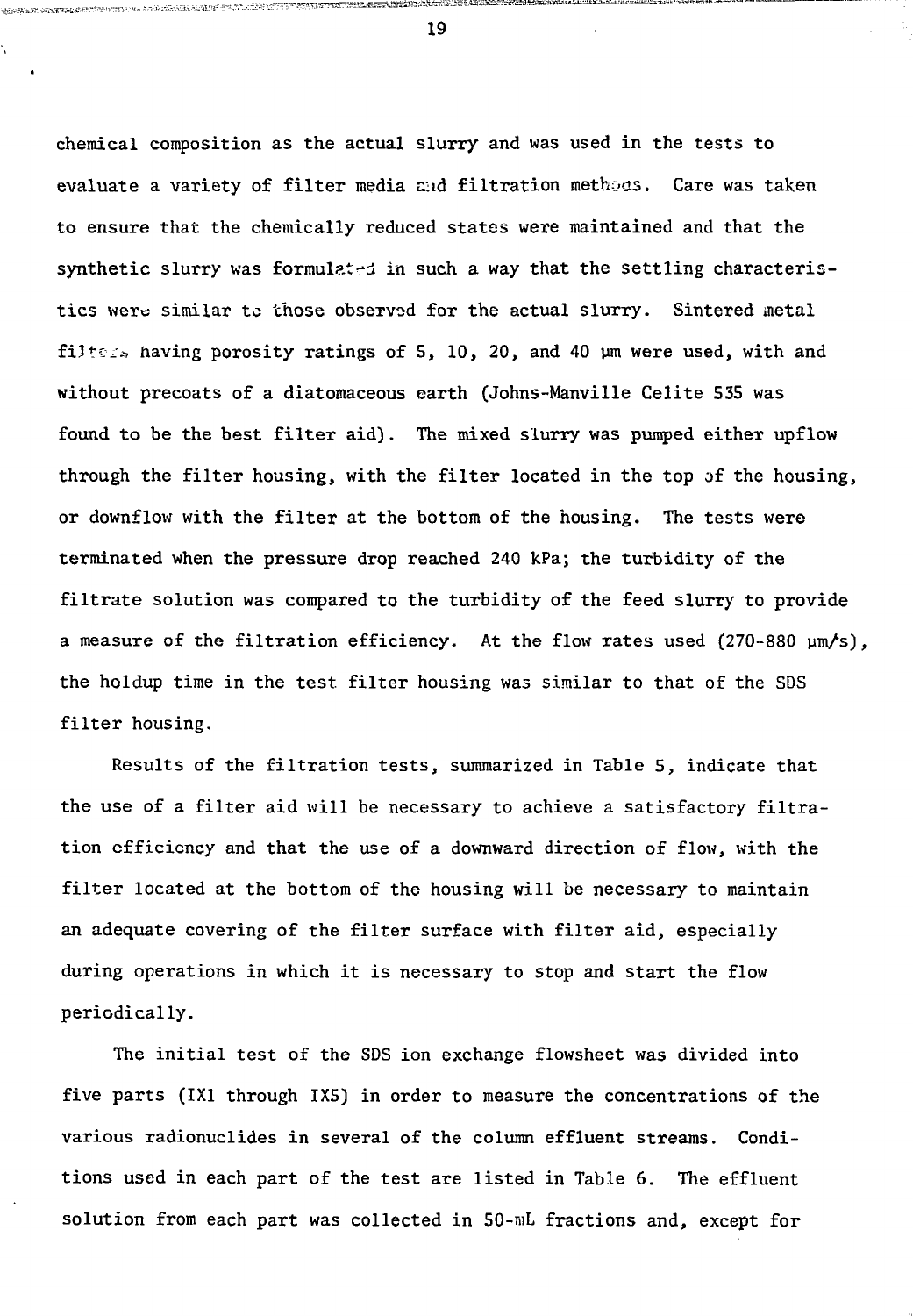chemical composition as the actual slurry and was used in the tests to evaluate a variety of filter media ziad filtration methods. Care was taken to ensure that the chemically reduced states were maintained and that the synthetic slurry was formulated in such a way that the settling characteristics were similar to those observad for the actual slurry. Sintered metal filters having porosity ratings of 5, 10, 20, and 40  $\mu$ m were used, with and without precoats of a diatomaceous earth (Johns-Manville Celite 535 was found to be the best filter aid). The mixed slurry was pumped either upflow through the filter housing, with the filter located in the top of the housing, or downflow with the filter at the bottom of the housing. The tests were terminated when the pressure drop reached 240 kPa; the turbidity of the filtrate solution was compared to the turbidity of the feed slurry to provide a measure of the filtration efficiency. At the flow rates used (270-880 um/s), the holdup time in the test filter housing was similar to that of the SDS filter housing.

Results of the filtration tests, summarized in Table 5, indicate that the use of a filter aid will be necessary to achieve a satisfactory filtration efficiency and that the use of a downward direction of flow, with the filter located at the bottom of the housing will be necessary to maintain an adequate covering of the filter surface with filter aid, especially during operations in which it is necessary to stop and start the flow periodically.

The initial test of the SDS ion exchange flowsheet was divided into five parts (1X1 through 1X5) in order to measure the concentrations of the various radionuclides in several of the column effluent streams. Conditions used in each part of the test are listed in Table 6. The effluent solution from each part was collected in 50-mL fractions and, except for

19

gen til plansk af blev større og stødelige større og større og stødelige og større og stødelige stødelige og s

**MARINE SE CENTRIMARES**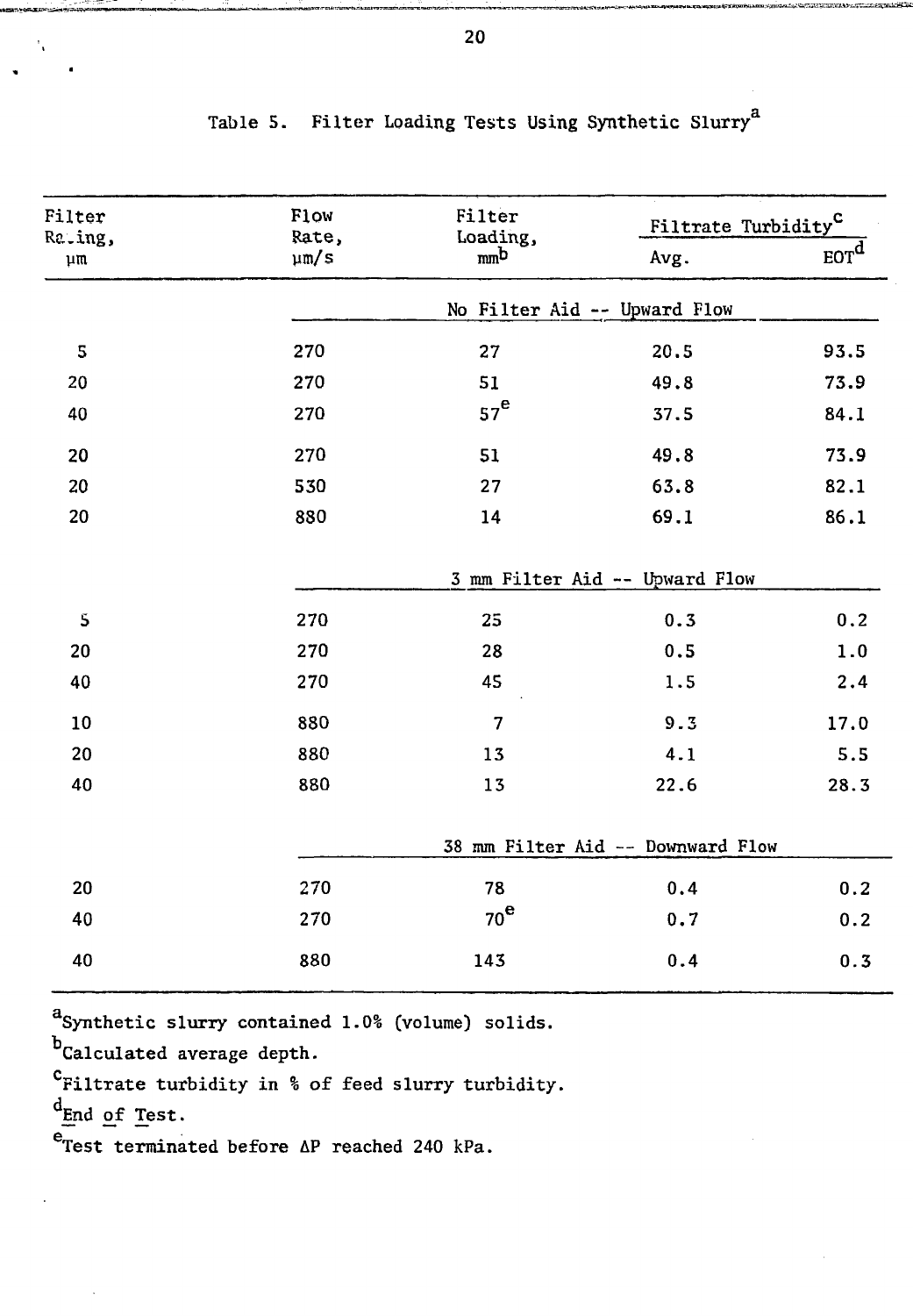| Filter<br>Rating, | <b>Flow</b><br>Rate, | Filter<br>Loading,      | Filtrate Turbidity <sup>C</sup>   |                       |
|-------------------|----------------------|-------------------------|-----------------------------------|-----------------------|
| $\mu$ m           | $\mu$ m/s            | m <sub>n</sub> b        | Avg.                              | $_{EOT}$ <sup>d</sup> |
|                   |                      |                         | No Filter Aid -- Upward Flow      |                       |
| ${\mathsf S}$     | 270                  | 27                      | 20.5                              | 93.5                  |
| 20                | 270                  | 51                      | 49.8                              | 73.9                  |
| 40                | 270                  | 57 <sup>e</sup>         | 37.5                              | 84.1                  |
| 20                | 270                  | 51                      | 49.8                              | 73.9                  |
| 20                | 530                  | 27                      | 63.8                              | 82.1                  |
| 20                | 880                  | 14                      | 69.1                              | 86.1                  |
|                   |                      |                         | 3 mm Filter Aid -- Upward Flow    |                       |
| $\mathbf 5$       | 270                  | 25                      | 0.3                               | 0.2                   |
| 20                | 270                  | 28                      | 0.5                               | 1.0                   |
| 40                | 270                  | 45                      | 1.5                               | 2.4                   |
| 10                | 880                  | $\overline{\mathbf{7}}$ | 9.3                               | 17.0                  |
| 20                | 880                  | 13                      | 4.1                               | 5.5                   |
| 40                | 880                  | 13                      | 22.6                              | 28.3                  |
|                   |                      |                         | 38 mm Filter Aid -- Downward Flow |                       |
| 20                | 270                  | 78                      | 0.4                               | 0.2                   |
| 40                | 270                  | 70 <sup>e</sup>         | 0.7                               | 0.2                   |
| 40                | 880                  | 143                     | 0.4                               | 0.3                   |

|  |  |  |  |  | Table 5. Filter Loading Tests Using Synthetic Slurry <sup>a</sup> |  |
|--|--|--|--|--|-------------------------------------------------------------------|--|
|--|--|--|--|--|-------------------------------------------------------------------|--|

a<br>Synthetic slurry contained 1.0% (volume) solids.

b<br>Calculated average depth.

<sup>C</sup>Filtrate turbidity in % of feed slurry turbidity.

d<sub>End of</sub> Test.

 $e$ Test terminated before  $\Delta P$  reached 240 kPa.

20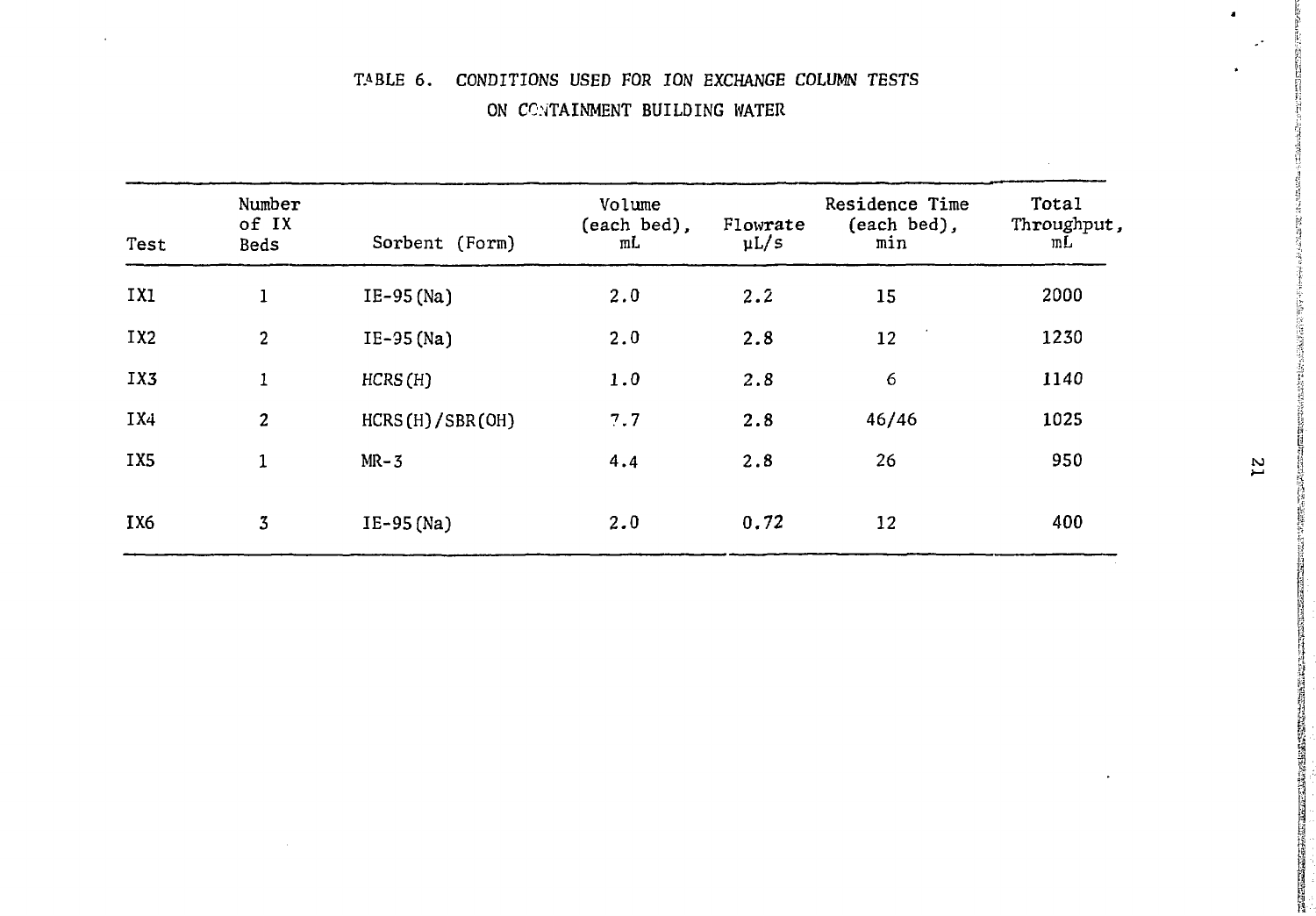# TABLE 6. CONDITIONS USED FOR ION EXCHANGE COLUMN TESTS ON CONTAINMENT BUILDING WATER

| Test            | Number<br>of IX<br>Beds | Sorbent (Form)  | Volume<br>(each bed),<br>mL | Flowrate<br>$\mu L/s$ | Residence Time<br>(each bed),<br>min | Total<br>Throughput,<br>mL |
|-----------------|-------------------------|-----------------|-----------------------------|-----------------------|--------------------------------------|----------------------------|
| IXI             | $\mathbf{1}$            | IE-95 (Na)      | 2.0                         | 2.2                   | 15                                   | 2000                       |
| IX <sub>2</sub> | $\overline{2}$          | $IE-95(Na)$     | 2.0                         | 2.8                   | 12                                   | 1230                       |
| IX3             | 1                       | HCRS(H)         | $1.0$                       | 2.8                   | 6                                    | 1140                       |
| IX4             | $\boldsymbol{2}$        | HCRS(H)/SBR(OH) | 7.7                         | 2.8                   | 46/46                                | 1025                       |
| IX <sub>5</sub> | $\mathbf{1}$            | $MR-3$          | 4.4                         | 2.8                   | 26                                   | 950                        |
| IX <sub>6</sub> | 3                       | $IE-95(Na)$     | 2.0                         | 0.72                  | 12                                   | 400                        |

ALC: UNK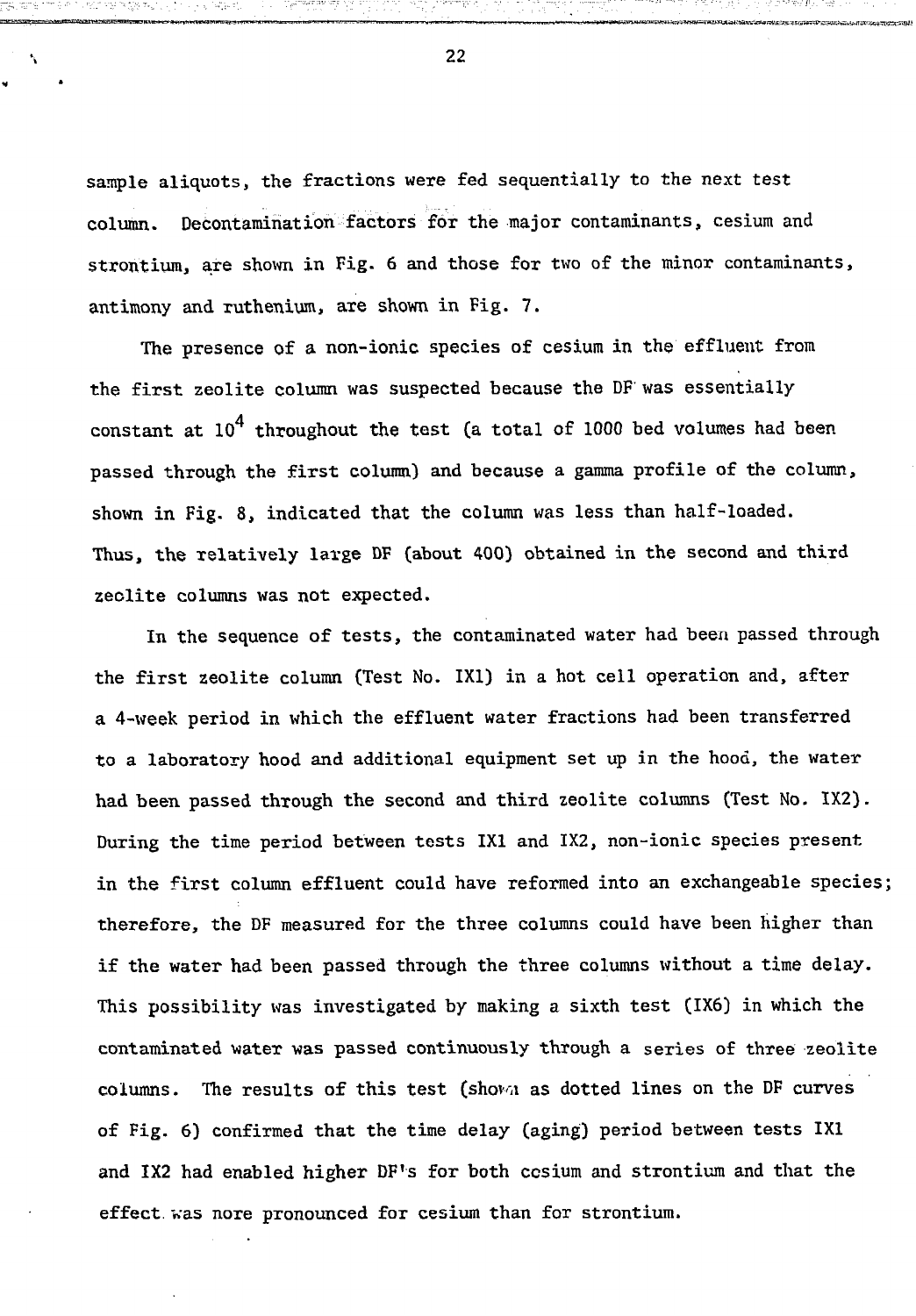sample aliquots, the fractions were fed sequentially to the next test column. Decontamination factors for the major contaminants, cesium and strontium, are shown in Fig. 6 and those for two of the minor contaminants, antimony and ruthenium, are shown in Fig. 7.

The presence of a non-ionic species of cesium in the effluent from the first zeolite column was suspected because the DF' was essentially constant at  $10^4$  throughout the test (a total of 1000 bed volumes had been passed through the first column) and because a gamma profile of the column, shown in Fig. 8, indicated that the column was less than half-loaded. Thus, the relatively large DF (about 400) obtained in the second and third zeolite columns was not expected.

In the sequence of tests, the contaminated water had been passed through the first zeolite column (Test No. 1X1) in a hot cell operation and, after a 4-week period in which the effluent water fractions had been transferred to a laboratory hood and additional equipment set up in the hood, the water had been passed through the second and third zeolite columns (Test No. 1X2). During the time period between tests 1X1 and 1X2, non-ionic species present in the first column effluent could have reformed into an exchangeable species; therefore, the DF measured for the three columns could have been higher than if the water had been passed through the three columns without a time delay. This possibility was investigated by making a sixth test (1X6) in which the contaminated water was passed continuously through a series of three zeolite columns. The results of this test (shova as dotted lines on the DF curves of Fig. 6) confirmed that the time delay (aging) period between tests 1X1 and 1X2 had enabled higher DF's for both cesium and strontium and that the effect, was nore pronounced for cesium than for strontium.

22

۰,

"••'"'<'.• . "-.•;•-• • •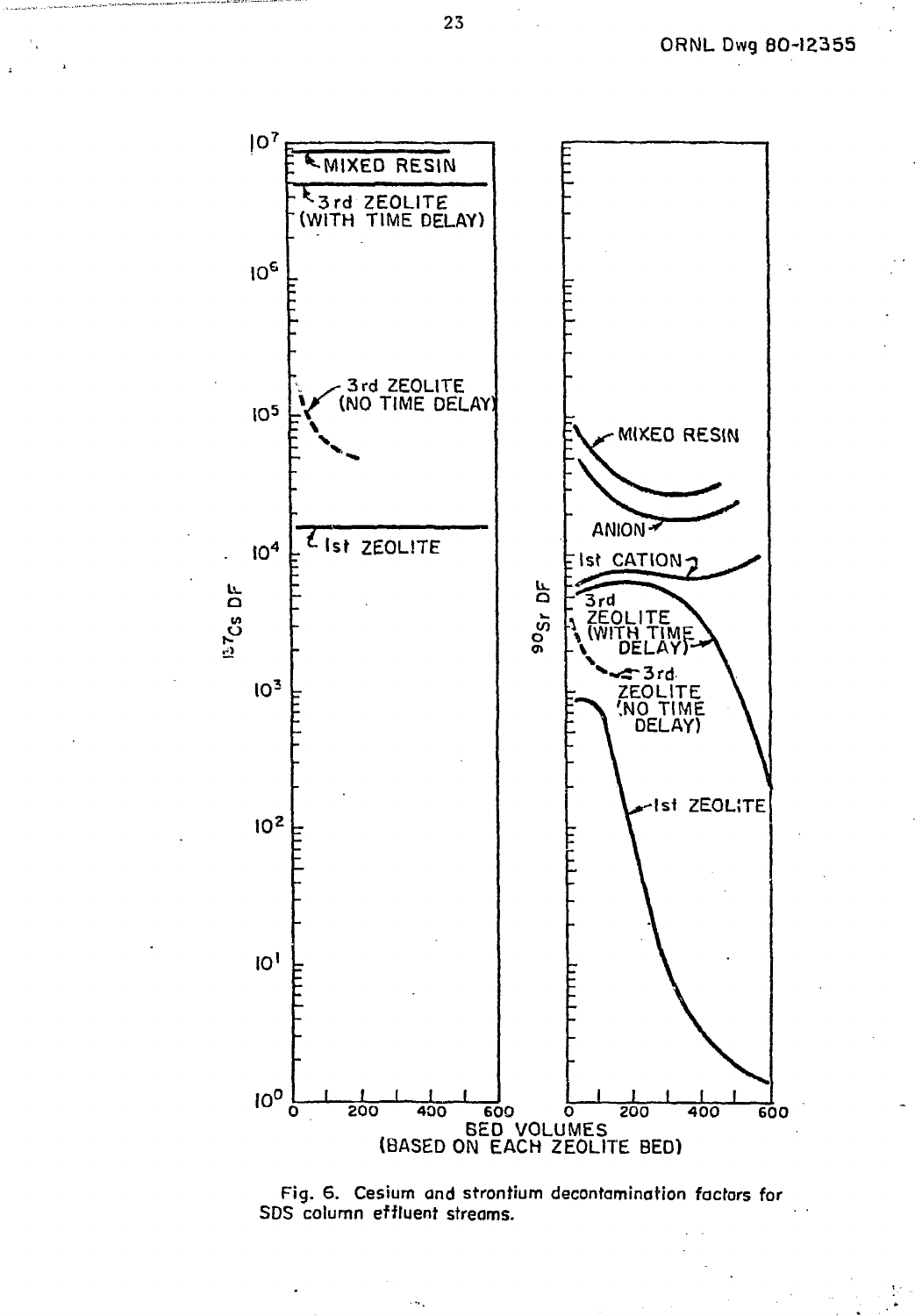

Fig. 6. Cesium and strontium decontamination factors for SDS column effluent streams.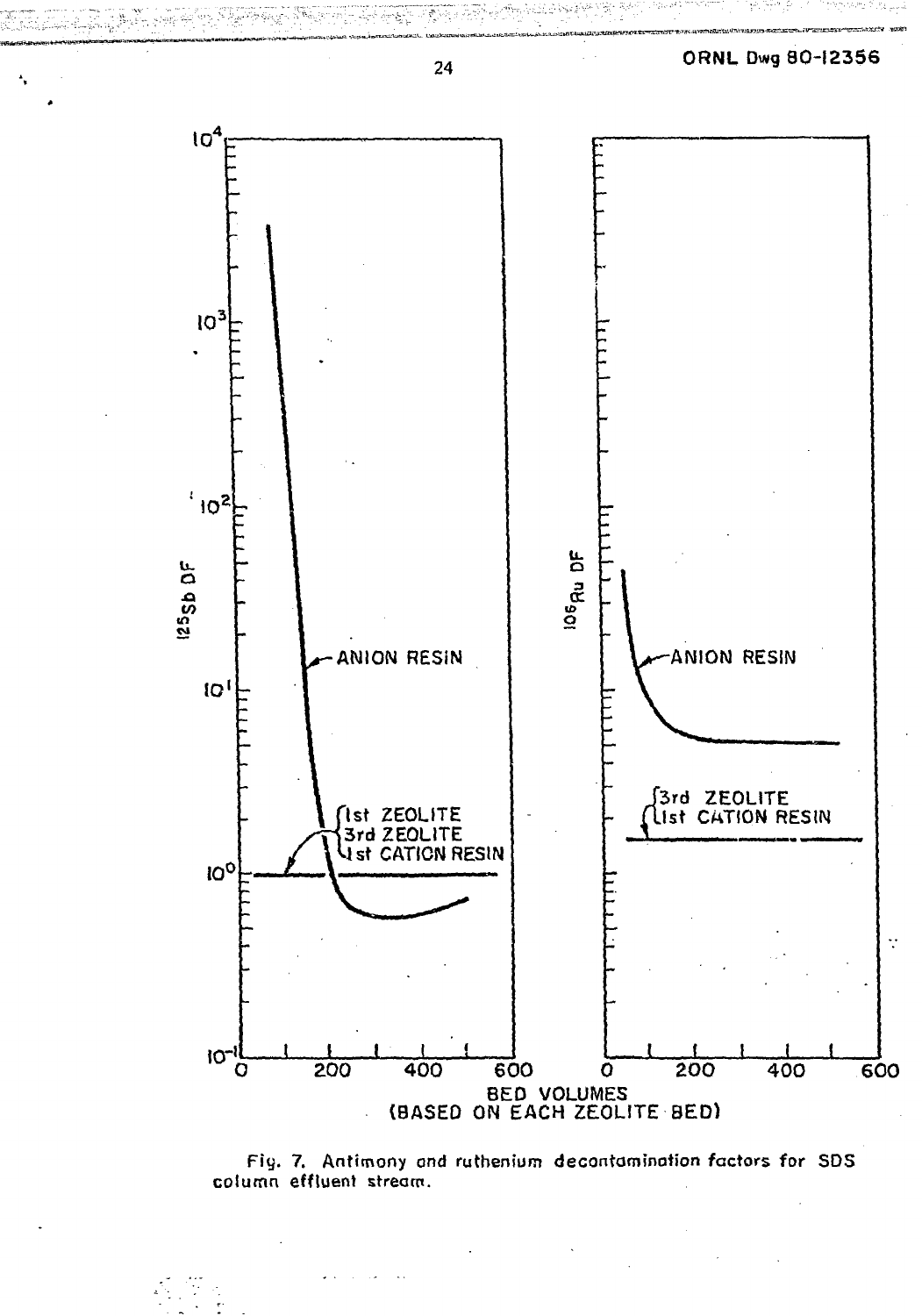

Fig. 7. Antimony and ruthenium decontamination factors for SDS column effluent stream.

24

宠

نې پېښې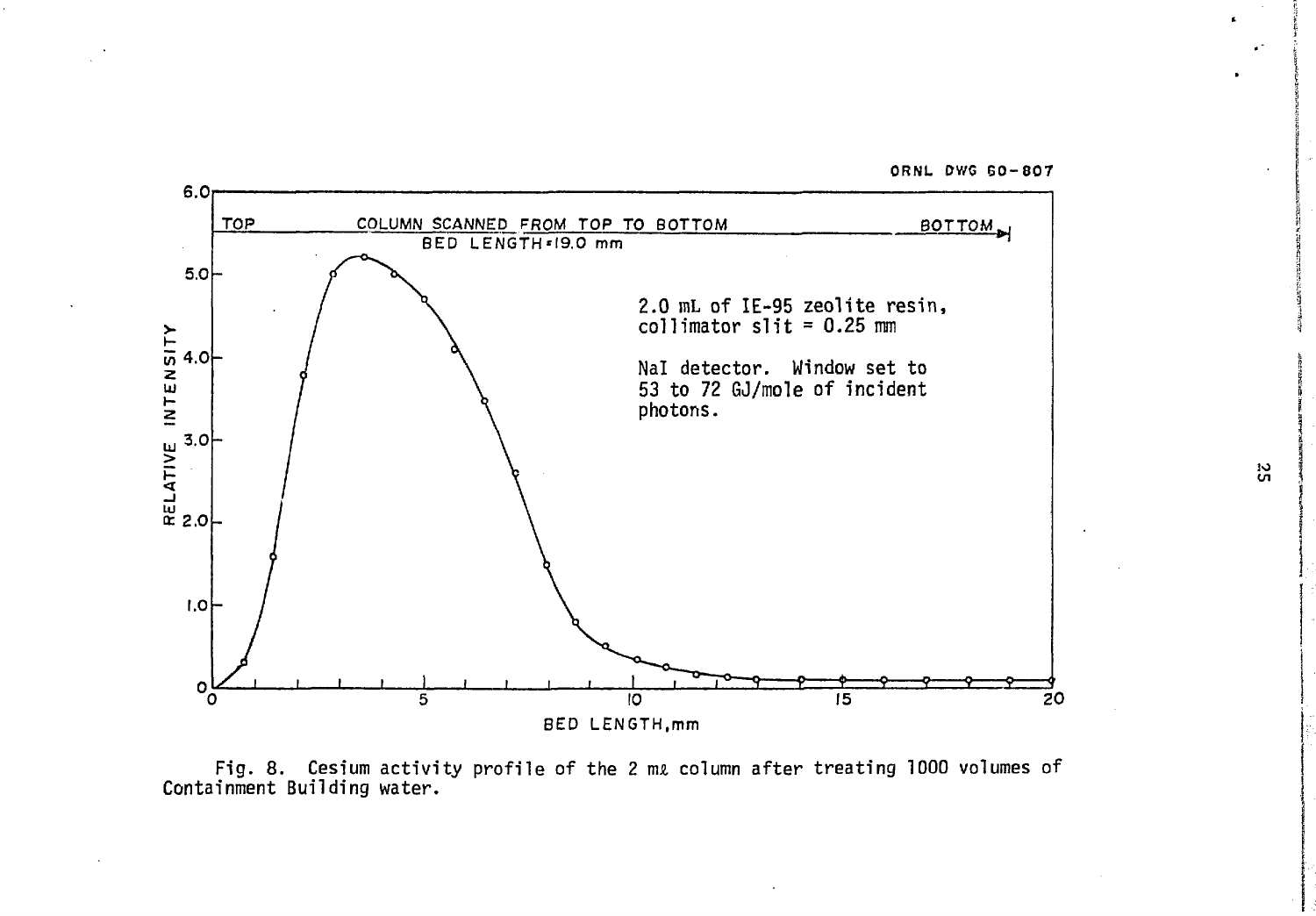ORNL DWG 60-807



Fig. 8. Cesium activity profile of the 2 nu column after treating 1000 volumes of Containment Building water.

in

 $\bullet$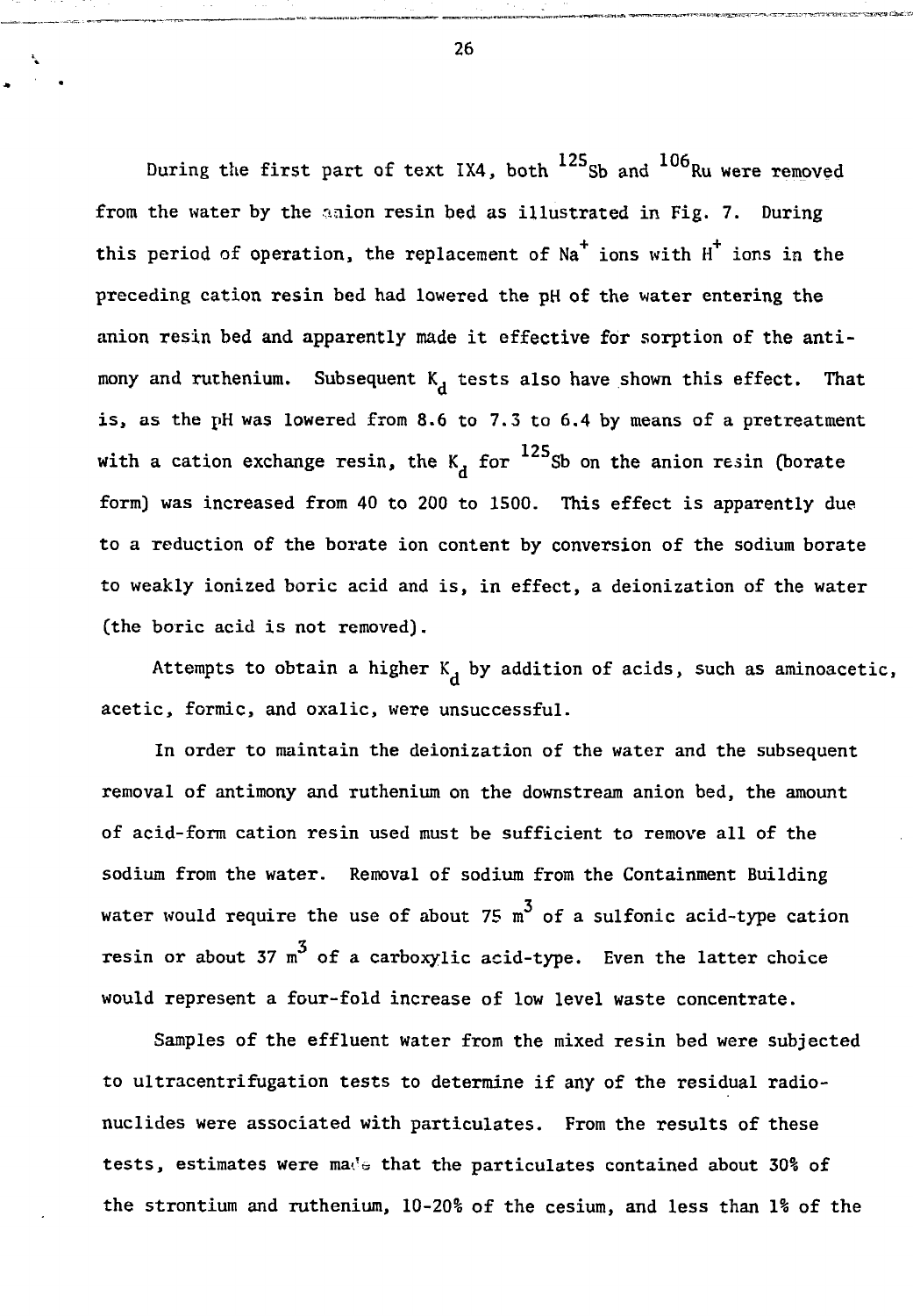During the first part of text IX4, both  $^{125}$ Sb and  $^{106}$ Ru were removed from the water by the asion resin bed as illustrated in Fig. 7. During this period of operation, the replacement of  $Na<sup>+</sup>$  ions  $H<sup>+</sup>$  ions in the preceding cation resin bed had lowered the pH of the water entering the anion resin bed and apparently made it effective for sorption of the antimony and ruthenium. Subsequent  $K_d$  tests also have shown this effect. That is, as the pH was lowered from 8.6 to 7.3 to 6.4 by means of a pretreatment with a cation exchange resin, the K, for  $^{125}$ Sb on the anion resin (borate form) was increased from 40 to 200 to 1500. This effect is apparently due to a reduction of the borate ion content by conversion of the sodium borate to weakly ionized boric acid and is, in effect, a deionization of the water (the boric acid is not removed).

Attempts to obtain a higher  $K_d$  by addition of acids, such as aminoacetic, acetic, formic, and oxalic, were unsuccessful.

In order to maintain the deionization of the water and the subsequent removal of antimony and ruthenium on the downstream anion bed, the amount of acid-form cation resin used must be sufficient to remove all of the sodium from the water. Removal of sodium from the Containment Building water would require the use of about 75  $m^3$  of a sulfonic acid-type cation 3 resin or about 37 m° of a carboxylic acid-type. Even the latter choice would represent a four-fold increase of low level waste concentrate.

Samples of the effluent water from the mixed resin bed were subjected to ultracentrifugation tests to determine if any of the residual radionuclides were associated with particulates. From the results of these tests, estimates were mat's that the particulates contained about 30% of the strontium and ruthenium, 10-20% of the cesium, and less than \% of the

26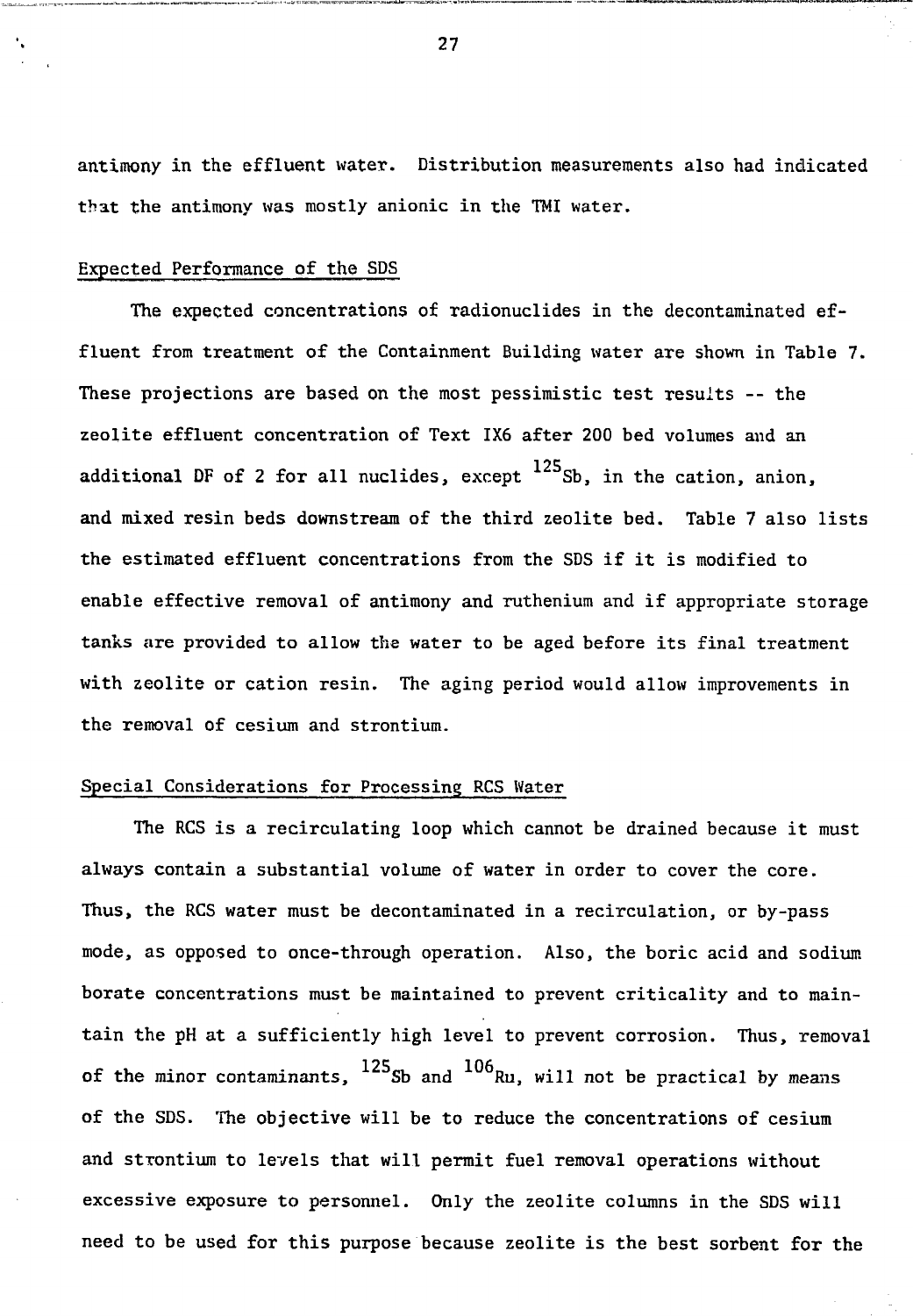antimony in the effluent water. Distribution measurements also had indicated that the antimony was mostly anionic in the TMI water.

#### Expected Performance of the SDS

The expected concentrations of radionuclides in the decontaminated effluent from treatment of the Containment Building water are shown in Table 7. These projections are based on the most pessimistic test results -- the zeolite effluent concentration of Text 1X6 after 200 bed volumes and an additional DF of 2 for all nuclides, except  $^{125}$ Sb, in the cation, anion, and mixed resin beds downstream of the third zeolite bed. Table 7 also lists the estimated effluent concentrations from the SDS if it is modified to enable effective removal of antimony and ruthenium and if appropriate storage tanks are provided to allow the water to be aged before its final treatment with zeolite or cation resin. The aging period would allow improvements in the removal of cesium and strontium.

#### Special Considerations for Processing RCS Water

The RCS is a recirculating loop which cannot be drained because it must always contain a substantial volume of water in order to cover the core. Thus, the RCS water must be decontaminated in a recirculation, or by-pass mode, as opposed to once-through operation. Also, the boric acid and sodium borate concentrations must be maintained to prevent criticality and to maintain the pH at a sufficiently high level to prevent corrosion. Thus, removal of the minor contaminants,  $^{125}$ Sb and  $^{106}$ Ru, will not be practical by means of the SDS. The objective will be to reduce the concentrations of cesium and strontium to levels that will permit fuel removal operations without excessive exposure to personnel. Only the zeolite columns in the SDS will need to be used for this purpose because zeolite is the best sorbent for the

27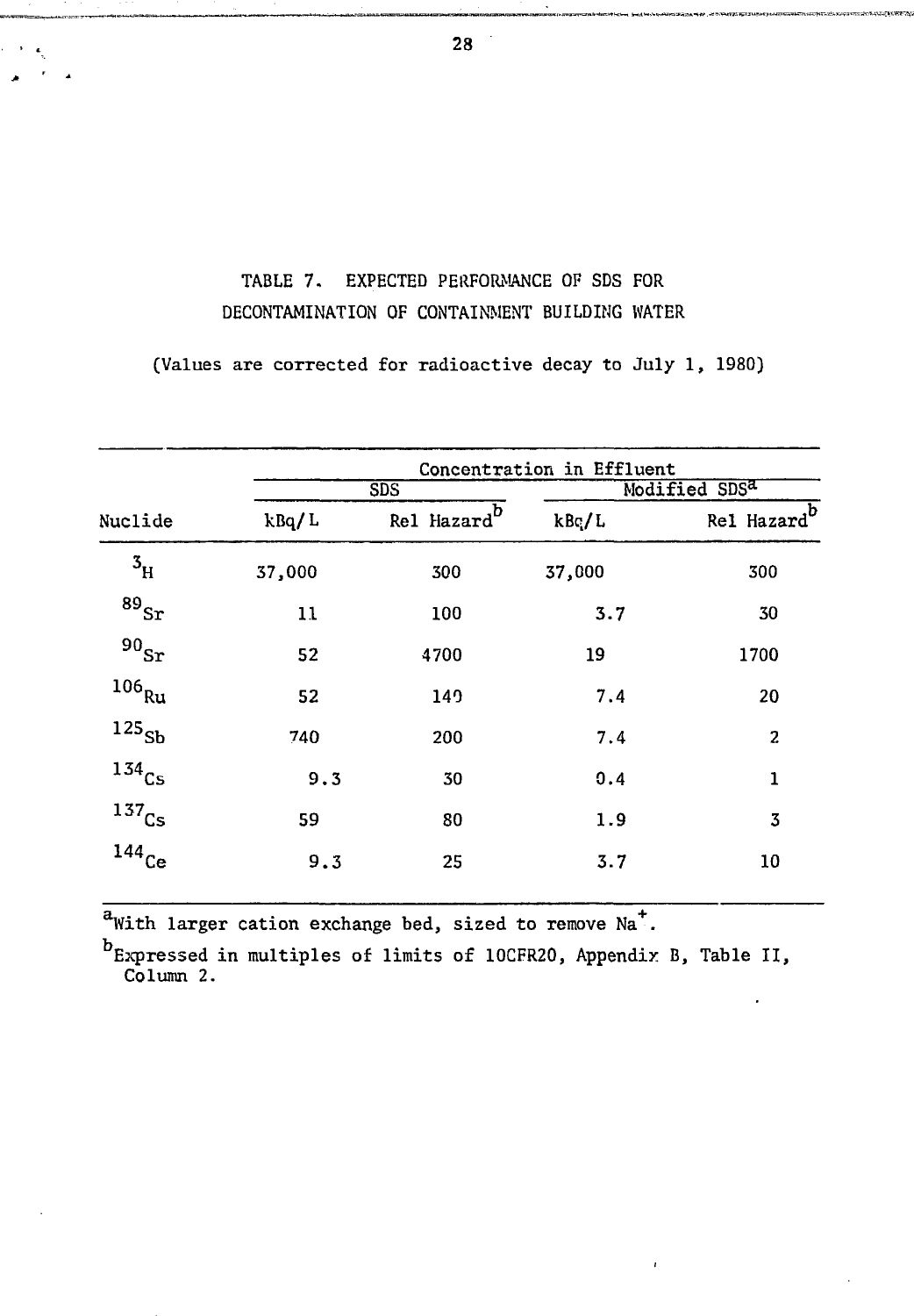# TABLE 7. EXPECTED PERFORMANCE OF SDS FOR DECONTAMINATION OF CONTAINMENT BUILDING WATER

(Values are corrected for radioactive decay to July 1, 1980)

|                           |        | Concentration in Effluent |                           |                 |  |  |  |  |  |
|---------------------------|--------|---------------------------|---------------------------|-----------------|--|--|--|--|--|
| Nuclide                   |        | SDS                       | Modified SDS <sup>a</sup> |                 |  |  |  |  |  |
|                           | kBq/L  | Rel Hazard                | kBc/L                     | b<br>Rel Hazard |  |  |  |  |  |
| $\mathbf{3}_{\mathrm{H}}$ | 37,000 | 300                       | 37,000                    | 300             |  |  |  |  |  |
| $^{89}\rm{Sr}$            | 11     | 100                       | 3.7                       | 30              |  |  |  |  |  |
| 90 <sub>ST</sub>          | 52     | 4700                      | 19                        | 1700            |  |  |  |  |  |
| $^{106}\mathrm{Ru}$       | 52     | 149                       | 7.4                       | 20              |  |  |  |  |  |
| $^{125}\!{\rm Sb}$        | 740    | 200                       | 7.4                       | $\mathbf{z}$    |  |  |  |  |  |
| $134$ <sub>Cs</sub>       | 9.3    | 30                        | 0.4                       | $\mathbf{1}$    |  |  |  |  |  |
| $137$ Cs                  | 59     | 80                        | 1.9                       | 3               |  |  |  |  |  |
| $144$ Ce                  | 9.3    | 25                        | 3.7                       | 10              |  |  |  |  |  |
|                           |        |                           |                           |                 |  |  |  |  |  |

 $a$ With larger cation exchange bed, sized to remove Na<sup>+</sup>.

Expressed in multiples of limits of 10CFR20, Appendix B, Table II, Column 2.

28

<br>ฅฦฅ฿฿ฌ๚ฅฅ๚ฃฌ๚ฃ๚๚๚๚๚๚๚๚๚๚๚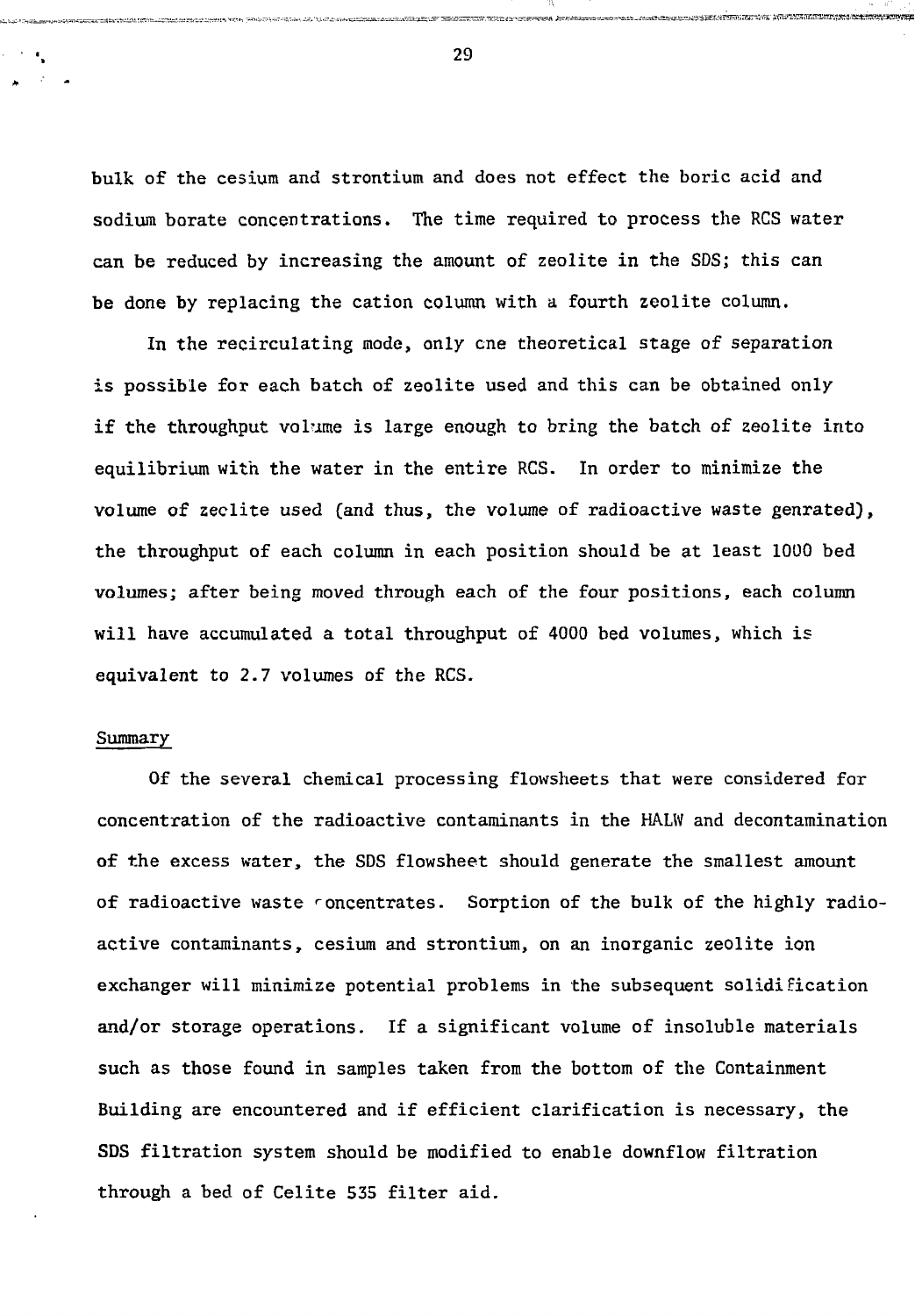bulk of the cesium and strontium and does not effect the boric acid and sodium borate concentrations. The time required to process the RCS water can be reduced by increasing the amount of zeolite in the SDS; this can be done by replacing the cation column with a fourth zeolite column.

In the recirculating mode, only cne theoretical stage of separation is possible for each batch of zeolite used and this can be obtained only if the throughput volume is large enough to bring the batch of zeolite into equilibrium with the water in the entire RCS. In order to minimize the volume of zeolite used (and thus, the volume of radioactive waste genrated), the throughput of each column in each position should be at least 1000 bed volumes; after being moved through each of the four positions, each column will have accumulated a total throughput of 4000 bed volumes, which is equivalent to 2.7 volumes of the RCS.

#### Summary

Of the several chemical processing flowsheets that were considered for concentration of the radioactive contaminants in the HALW and decontamination of the excess water, the SDS flowsheet should generate the smallest amount of radioactive waste concentrates. Sorption of the bulk of the highly radioactive contaminants, cesium and strontium, on an inorganic zeolite ion exchanger will minimize potential problems in the subsequent solidification and/or storage operations. If a significant volume of insoluble materials such as those found in samples taken from the bottom of the Containment Building are encountered and if efficient clarification is necessary, the SDS filtration system should be modified to enable downflow filtration through a bed of Celite 535 filter aid.

29

relevation commodition of the security of the security commodition of commodition of the commodition of the commodition of the commodition of the commodition of the security of the commodition of the commodition of the com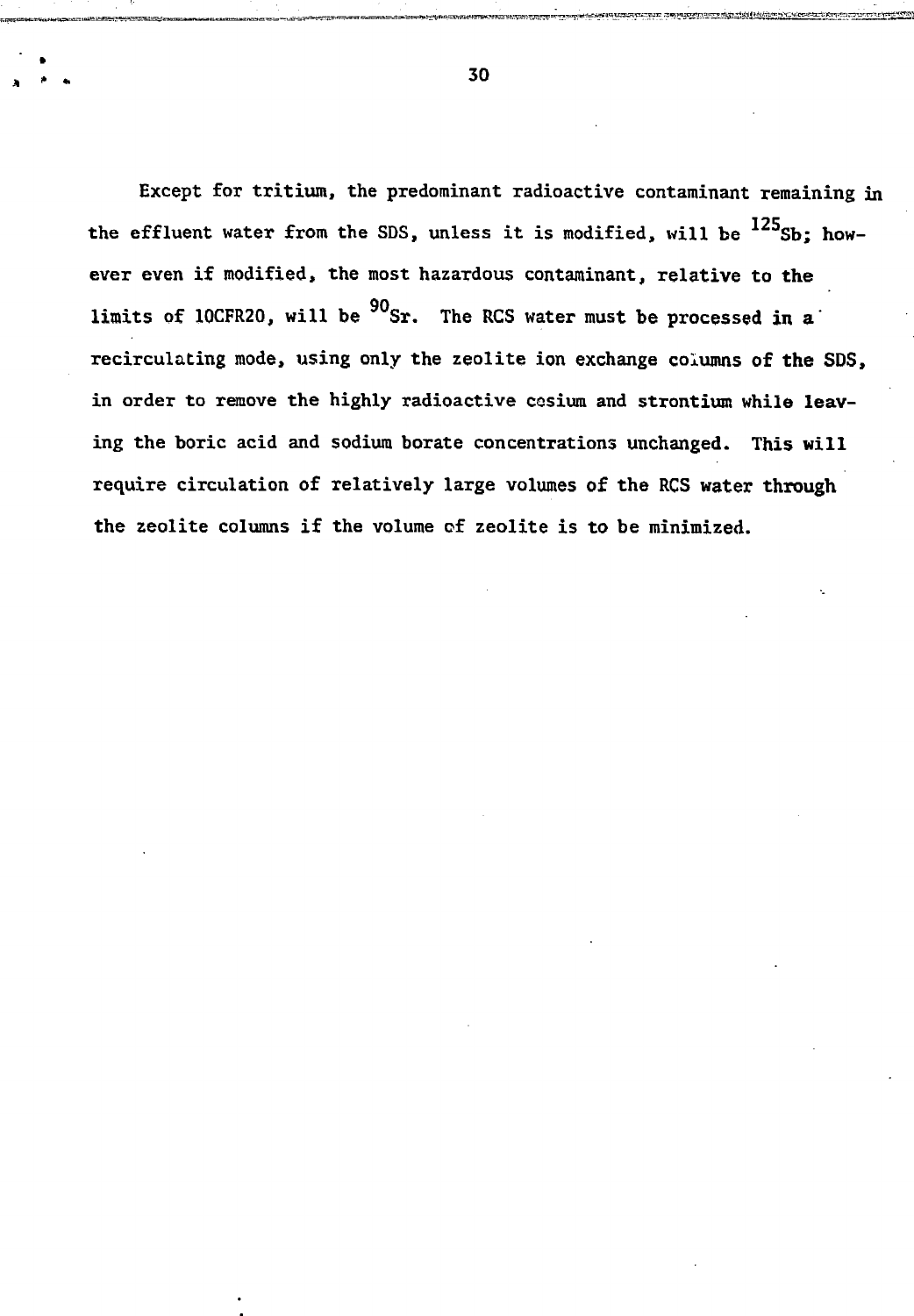Except for tritium, the predominant radioactive contaminant remaining in the effluent water from the SDS, unless it is modified, will be  $^{125}$ Sb; however even if modified, the most hazardous contaminant, relative to the limits of 10CFR20, will be  $^{90}$ Sr. The RCS water must be processed in a recirculating mode, using only the zeolite ion exchange columns of **the** SDS, in order to remove the highly radioactive cesium and strontium while leaving the boric acid and sodium borate concentrations unchanged. This will require circulation of relatively large volumes **of** the RCS **water through** the zeolite columns if the volume of zeolite is to be minimized.

 $\ddot{\bullet}$  . 30

consequence in the control of the